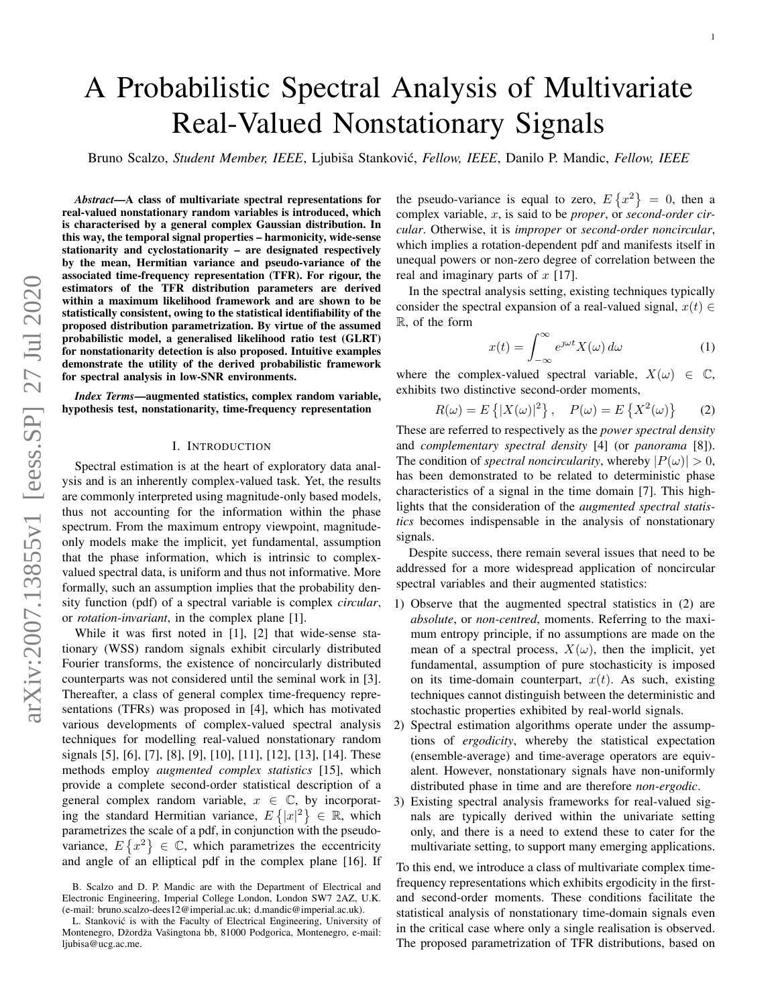# A Probabilistic Spectral Analysis of Multivariate Real-Valued Nonstationary Signals

Bruno Scalzo, Student Member, IEEE, Ljubiša Stanković, Fellow, IEEE, Danilo P. Mandic, Fellow, IEEE

*Abstract*—A class of multivariate spectral representations for real-valued nonstationary random variables is introduced, which is characterised by a general complex Gaussian distribution. In this way, the temporal signal properties – harmonicity, wide-sense stationarity and cyclostationarity – are designated respectively by the mean, Hermitian variance and pseudo-variance of the associated time-frequency representation (TFR). For rigour, the estimators of the TFR distribution parameters are derived within a maximum likelihood framework and are shown to be statistically consistent, owing to the statistical identifiability of the proposed distribution parametrization. By virtue of the assumed probabilistic model, a generalised likelihood ratio test (GLRT) for nonstationarity detection is also proposed. Intuitive examples demonstrate the utility of the derived probabilistic framework for spectral analysis in low-SNR environments.

*Index Terms*—augmented statistics, complex random variable, hypothesis test, nonstationarity, time-frequency representation

## I. INTRODUCTION

Spectral estimation is at the heart of exploratory data analysis and is an inherently complex-valued task. Yet, the results are commonly interpreted using magnitude-only based models, thus not accounting for the information within the phase spectrum. From the maximum entropy viewpoint, magnitudeonly models make the implicit, yet fundamental, assumption that the phase information, which is intrinsic to complexvalued spectral data, is uniform and thus not informative. More formally, such an assumption implies that the probability density function (pdf) of a spectral variable is complex *circular*, or *rotation-invariant*, in the complex plane [1].

While it was first noted in [1], [2] that wide-sense stationary (WSS) random signals exhibit circularly distributed Fourier transforms, the existence of noncircularly distributed counterparts was not considered until the seminal work in [3]. Thereafter, a class of general complex time-frequency representations (TFRs) was proposed in [4], which has motivated various developments of complex-valued spectral analysis techniques for modelling real-valued nonstationary random signals [5], [6], [7], [8], [9], [10], [11], [12], [13], [14]. These methods employ *augmented complex statistics* [15], which provide a complete second-order statistical description of a general complex random variable,  $x \in \mathbb{C}$ , by incorporating the standard Hermitian variance,  $E\{|x|^2\} \in \mathbb{R}$ , which parametrizes the scale of a pdf, in conjunction with the pseudovariance,  $E\left\{x^2\right\} \in \mathbb{C}$ , which parametrizes the eccentricity and angle of an elliptical pdf in the complex plane [16]. If

the pseudo-variance is equal to zero,  $E\left\{x^2\right\} = 0$ , then a complex variable, x, is said to be *proper*, or *second-order circular*. Otherwise, it is *improper* or *second-order noncircular*, which implies a rotation-dependent pdf and manifests itself in unequal powers or non-zero degree of correlation between the real and imaginary parts of  $x$  [17].

In the spectral analysis setting, existing techniques typically consider the spectral expansion of a real-valued signal,  $x(t) \in$ R, of the form

$$
x(t) = \int_{-\infty}^{\infty} e^{\jmath \omega t} X(\omega) \, d\omega \tag{1}
$$

where the complex-valued spectral variable,  $X(\omega) \in \mathbb{C}$ , exhibits two distinctive second-order moments,

$$
R(\omega) = E\left\{ |X(\omega)|^2 \right\}, \quad P(\omega) = E\left\{ X^2(\omega) \right\} \tag{2}
$$

These are referred to respectively as the *power spectral density* and *complementary spectral density* [4] (or *panorama* [8]). The condition of *spectral noncircularity*, whereby  $|P(\omega)| > 0$ , has been demonstrated to be related to deterministic phase characteristics of a signal in the time domain [7]. This highlights that the consideration of the *augmented spectral statistics* becomes indispensable in the analysis of nonstationary signals.

Despite success, there remain several issues that need to be addressed for a more widespread application of noncircular spectral variables and their augmented statistics:

- 1) Observe that the augmented spectral statistics in (2) are *absolute*, or *non-centred*, moments. Referring to the maximum entropy principle, if no assumptions are made on the mean of a spectral process,  $X(\omega)$ , then the implicit, yet fundamental, assumption of pure stochasticity is imposed on its time-domain counterpart,  $x(t)$ . As such, existing techniques cannot distinguish between the deterministic and stochastic properties exhibited by real-world signals.
- 2) Spectral estimation algorithms operate under the assumptions of *ergodicity*, whereby the statistical expectation (ensemble-average) and time-average operators are equivalent. However, nonstationary signals have non-uniformly distributed phase in time and are therefore *non-ergodic*.
- 3) Existing spectral analysis frameworks for real-valued signals are typically derived within the univariate setting only, and there is a need to extend these to cater for the multivariate setting, to support many emerging applications.

To this end, we introduce a class of multivariate complex timefrequency representations which exhibits ergodicity in the firstand second-order moments. These conditions facilitate the statistical analysis of nonstationary time-domain signals even in the critical case where only a single realisation is observed. The proposed parametrization of TFR distributions, based on

B. Scalzo and D. P. Mandic are with the Department of Electrical and Electronic Engineering, Imperial College London, London SW7 2AZ, U.K. (e-mail: bruno.scalzo-dees12@imperial.ac.uk; d.mandic@imperial.ac.uk).

L. Stanković is with the Faculty of Electrical Engineering, University of Montenegro, Džordža Vašingtona bb, 81000 Podgorica, Montenegro, e-mail: ljubisa@ucg.ac.me.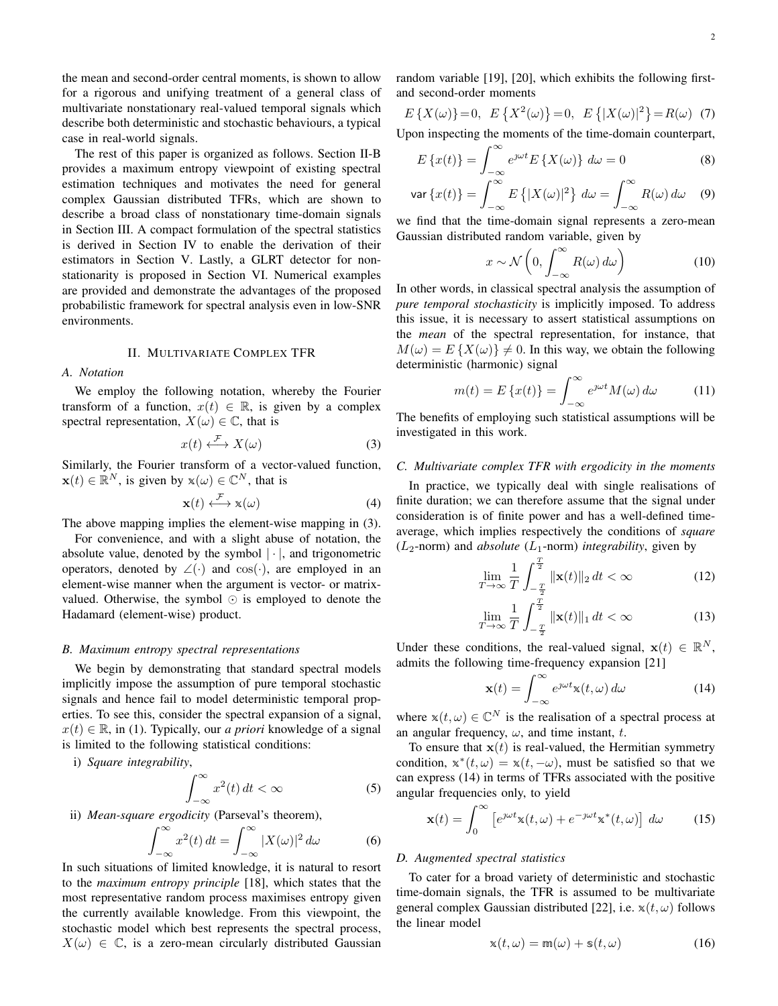the mean and second-order central moments, is shown to allow for a rigorous and unifying treatment of a general class of multivariate nonstationary real-valued temporal signals which describe both deterministic and stochastic behaviours, a typical case in real-world signals.

The rest of this paper is organized as follows. Section II-B provides a maximum entropy viewpoint of existing spectral estimation techniques and motivates the need for general complex Gaussian distributed TFRs, which are shown to describe a broad class of nonstationary time-domain signals in Section III. A compact formulation of the spectral statistics is derived in Section IV to enable the derivation of their estimators in Section V. Lastly, a GLRT detector for nonstationarity is proposed in Section VI. Numerical examples are provided and demonstrate the advantages of the proposed probabilistic framework for spectral analysis even in low-SNR environments.

## II. MULTIVARIATE COMPLEX TFR

## *A. Notation*

We employ the following notation, whereby the Fourier transform of a function,  $x(t) \in \mathbb{R}$ , is given by a complex spectral representation,  $X(\omega) \in \mathbb{C}$ , that is

$$
x(t) \xleftarrow{\mathcal{F}} X(\omega) \tag{3}
$$

Similarly, the Fourier transform of a vector-valued function,  $\mathbf{x}(t) \in \mathbb{R}^N$ , is given by  $\mathbf{x}(\omega) \in \mathbb{C}^N$ , that is

$$
\mathbf{x}(t) \stackrel{\mathcal{F}}{\longleftrightarrow} \mathbf{x}(\omega) \tag{4}
$$

The above mapping implies the element-wise mapping in (3).

For convenience, and with a slight abuse of notation, the absolute value, denoted by the symbol  $|\cdot|$ , and trigonometric operators, denoted by  $\angle(\cdot)$  and cos( $\cdot$ ), are employed in an element-wise manner when the argument is vector- or matrixvalued. Otherwise, the symbol  $\odot$  is employed to denote the Hadamard (element-wise) product.

#### *B. Maximum entropy spectral representations*

We begin by demonstrating that standard spectral models implicitly impose the assumption of pure temporal stochastic signals and hence fail to model deterministic temporal properties. To see this, consider the spectral expansion of a signal,  $x(t) \in \mathbb{R}$ , in (1). Typically, our *a priori* knowledge of a signal is limited to the following statistical conditions:

i) *Square integrability*,

$$
\int_{-\infty}^{\infty} x^2(t) \, dt < \infty \tag{5}
$$

ii) *Mean-square ergodicity* (Parseval's theorem),

$$
\int_{-\infty}^{\infty} x^2(t) dt = \int_{-\infty}^{\infty} |X(\omega)|^2 d\omega \tag{6}
$$

In such situations of limited knowledge, it is natural to resort to the *maximum entropy principle* [18], which states that the most representative random process maximises entropy given the currently available knowledge. From this viewpoint, the stochastic model which best represents the spectral process,  $X(\omega) \in \mathbb{C}$ , is a zero-mean circularly distributed Gaussian random variable [19], [20], which exhibits the following firstand second-order moments

$$
E\left\{X(\omega)\right\} = 0, \ E\left\{X^2(\omega)\right\} = 0, \ E\left\{|X(\omega)|^2\right\} = R(\omega) \tag{7}
$$

Upon inspecting the moments of the time-domain counterpart,

$$
E\left\{x(t)\right\} = \int_{-\infty}^{\infty} e^{j\omega t} E\left\{X(\omega)\right\} d\omega = 0
$$
 (8)

$$
\text{var}\left\{x(t)\right\} = \int_{-\infty}^{\infty} E\left\{|X(\omega)|^2\right\} d\omega = \int_{-\infty}^{\infty} R(\omega) d\omega \quad (9)
$$

we find that the time-domain signal represents a zero-mean Gaussian distributed random variable, given by

$$
x \sim \mathcal{N}\left(0, \int_{-\infty}^{\infty} R(\omega) \, d\omega\right) \tag{10}
$$

In other words, in classical spectral analysis the assumption of *pure temporal stochasticity* is implicitly imposed. To address this issue, it is necessary to assert statistical assumptions on the *mean* of the spectral representation, for instance, that  $M(\omega) = E\{X(\omega)\}\neq 0$ . In this way, we obtain the following deterministic (harmonic) signal

$$
m(t) = E\left\{x(t)\right\} = \int_{-\infty}^{\infty} e^{j\omega t} M(\omega) d\omega \tag{11}
$$

The benefits of employing such statistical assumptions will be investigated in this work.

# *C. Multivariate complex TFR with ergodicity in the moments*

In practice, we typically deal with single realisations of finite duration; we can therefore assume that the signal under consideration is of finite power and has a well-defined timeaverage, which implies respectively the conditions of *square*  $(L_2$ -norm) and *absolute*  $(L_1$ -norm) *integrability*, given by

$$
\lim_{T \to \infty} \frac{1}{T} \int_{-\frac{T}{2}}^{\frac{T}{2}} \|\mathbf{x}(t)\|_2 dt < \infty \tag{12}
$$

$$
\lim_{T \to \infty} \frac{1}{T} \int_{-\frac{T}{2}}^{\frac{T}{2}} \|\mathbf{x}(t)\|_1 dt < \infty \tag{13}
$$

Under these conditions, the real-valued signal,  $\mathbf{x}(t) \in \mathbb{R}^N$ , admits the following time-frequency expansion [21]

$$
\mathbf{x}(t) = \int_{-\infty}^{\infty} e^{\jmath\omega t} \mathbf{x}(t, \omega) \, d\omega \tag{14}
$$

where  $x(t, \omega) \in \mathbb{C}^N$  is the realisation of a spectral process at an angular frequency,  $\omega$ , and time instant, t.

To ensure that  $x(t)$  is real-valued, the Hermitian symmetry condition,  $x^*(t, \omega) = x(t, -\omega)$ , must be satisfied so that we can express (14) in terms of TFRs associated with the positive angular frequencies only, to yield

$$
\mathbf{x}(t) = \int_0^\infty \left[ e^{\jmath \omega t} \mathbf{x}(t, \omega) + e^{-\jmath \omega t} \mathbf{x}^*(t, \omega) \right] d\omega \tag{15}
$$

# *D. Augmented spectral statistics*

To cater for a broad variety of deterministic and stochastic time-domain signals, the TFR is assumed to be multivariate general complex Gaussian distributed [22], i.e.  $x(t, \omega)$  follows the linear model

$$
\mathbf{x}(t,\omega) = \mathbf{m}(\omega) + \mathbf{s}(t,\omega) \tag{16}
$$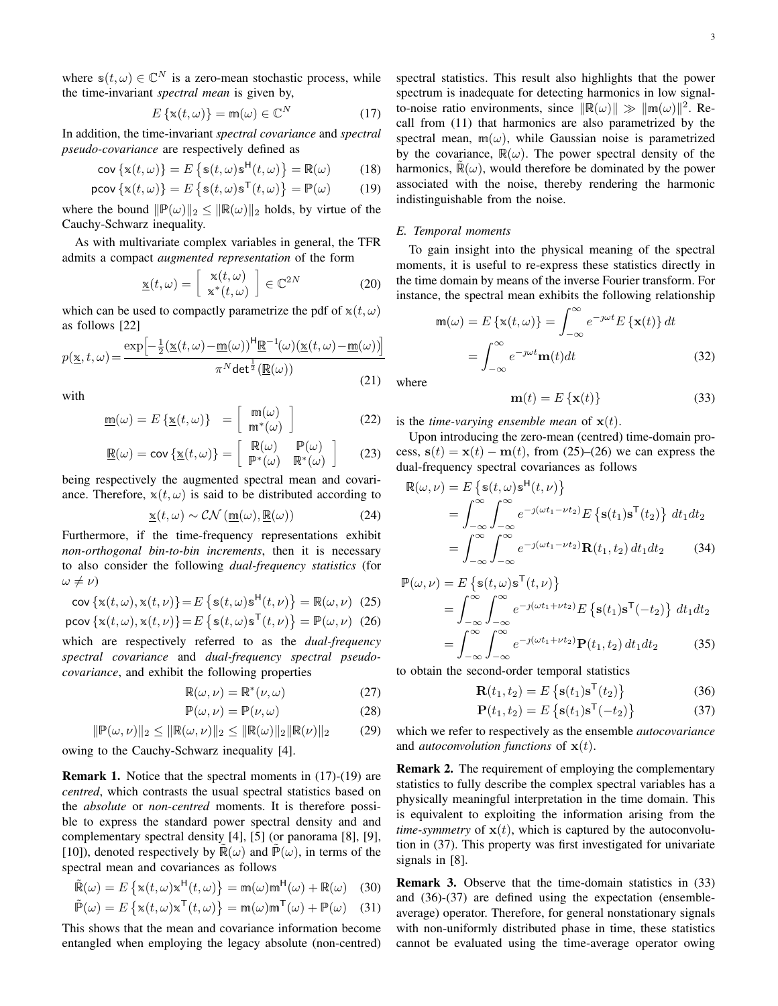where  $s(t, \omega) \in \mathbb{C}^N$  is a zero-mean stochastic process, while the time-invariant *spectral mean* is given by,

$$
E\left\{\mathbf{x}(t,\omega)\right\} = \mathbf{m}(\omega) \in \mathbb{C}^N \tag{17}
$$

In addition, the time-invariant *spectral covariance* and *spectral pseudo-covariance* are respectively defined as

$$
\text{cov}\left\{\mathbf{x}(t,\omega)\right\} = E\left\{\mathbf{s}(t,\omega)\mathbf{s}^{\mathsf{H}}(t,\omega)\right\} = \mathbb{R}(\omega) \quad (18)
$$
\n
$$
\text{pcov}\left\{\mathbf{x}(t,\omega)\right\} = E\left\{\mathbf{s}(t,\omega)\mathbf{s}^{\mathsf{T}}(t,\omega)\right\} = \mathbb{P}(\omega) \quad (19)
$$

where the bound 
$$
\|\mathbb{P}(\omega)\|_2 \le \|\mathbb{R}(\omega)\|_2
$$
 holds, by virtue of the Cauchy-Schwarz inequality.

As with multivariate complex variables in general, the TFR admits a compact *augmented representation* of the form

$$
\underline{\mathbf{x}}(t,\omega) = \begin{bmatrix} \mathbf{x}(t,\omega) \\ \mathbf{x}^*(t,\omega) \end{bmatrix} \in \mathbb{C}^{2N} \tag{20}
$$

which can be used to compactly parametrize the pdf of  $x(t, \omega)$ as follows [22]

$$
p(\underline{\mathbf{x}},t,\omega) = \frac{\exp\left[-\frac{1}{2}(\underline{\mathbf{x}}(t,\omega) - \underline{\mathbf{m}}(\omega))^\mathsf{H}\underline{\mathbf{R}}^{-1}(\omega)(\underline{\mathbf{x}}(t,\omega) - \underline{\mathbf{m}}(\omega))\right]}{\pi^N \det^{\frac{1}{2}}(\underline{\mathbf{R}}(\omega))}
$$
(21)

with

$$
\underline{\mathfrak{m}}(\omega) = E\left\{ \underline{\mathbf{x}}(t,\omega) \right\} = \begin{bmatrix} \mathfrak{m}(\omega) \\ \mathfrak{m}^*(\omega) \end{bmatrix}
$$
(22)

$$
\underline{\mathbb{R}}(\omega) = \text{cov}\left\{\underline{\mathbb{x}}(t,\omega)\right\} = \begin{bmatrix} \mathbb{R}(\omega) & \mathbb{P}(\omega) \\ \mathbb{P}^*(\omega) & \mathbb{R}^*(\omega) \end{bmatrix} \tag{23}
$$

being respectively the augmented spectral mean and covariance. Therefore,  $x(t, \omega)$  is said to be distributed according to

$$
\underline{\mathbf{x}}(t,\omega) \sim \mathcal{CN}\left(\underline{\mathbf{m}}(\omega), \underline{\mathbf{R}}(\omega)\right) \tag{24}
$$

Furthermore, if the time-frequency representations exhibit *non-orthogonal bin-to-bin increments*, then it is necessary to also consider the following *dual-frequency statistics* (for  $\omega \neq \nu$ )

$$
\text{cov}\left\{\mathbf{x}(t,\omega),\mathbf{x}(t,\nu)\right\} = E\left\{\mathbf{s}(t,\omega)\mathbf{s}^{\mathsf{H}}(t,\nu)\right\} = \mathbb{R}(\omega,\nu) \tag{25}
$$

$$
\text{pcov}\left\{\mathbf{x}(t,\omega),\mathbf{x}(t,\nu)\right\} = E\left\{\mathbf{s}(t,\omega)\mathbf{s}^{\mathsf{T}}(t,\nu)\right\} = \mathbb{P}(\omega,\nu) \tag{26}
$$

which are respectively referred to as the *dual-frequency spectral covariance* and *dual-frequency spectral pseudocovariance*, and exhibit the following properties

$$
\mathbb{R}(\omega,\nu) = \mathbb{R}^*(\nu,\omega) \tag{27}
$$

$$
\mathbb{P}(\omega,\nu) = \mathbb{P}(\nu,\omega) \tag{28}
$$

$$
\|\mathbb{P}(\omega,\nu)\|_2 \le \|\mathbb{R}(\omega,\nu)\|_2 \le \|\mathbb{R}(\omega)\|_2\|\mathbb{R}(\nu)\|_2 \tag{29}
$$

owing to the Cauchy-Schwarz inequality [4].

Remark 1. Notice that the spectral moments in (17)-(19) are *centred*, which contrasts the usual spectral statistics based on the *absolute* or *non-centred* moments. It is therefore possible to express the standard power spectral density and and complementary spectral density [4], [5] (or panorama [8], [9], [10]), denoted respectively by  $\mathbb{R}(\omega)$  and  $\mathbb{P}(\omega)$ , in terms of the spectral mean and covariances as follows

$$
\tilde{\mathbb{R}}(\omega) = E\left\{ \mathbf{x}(t,\omega) \mathbf{x}^{\mathsf{H}}(t,\omega) \right\} = \mathbf{m}(\omega) \mathbf{m}^{\mathsf{H}}(\omega) + \mathbf{\mathbb{R}}(\omega) \quad (30)
$$

$$
\tilde{\mathbb{P}}(\omega) = E\left\{ \mathbf{x}(t,\omega)\mathbf{x}^{\mathsf{T}}(t,\omega) \right\} = \mathbf{m}(\omega)\mathbf{m}^{\mathsf{T}}(\omega) + \mathbb{P}(\omega) \quad (31)
$$

This shows that the mean and covariance information become entangled when employing the legacy absolute (non-centred) spectral statistics. This result also highlights that the power spectrum is inadequate for detecting harmonics in low signalto-noise ratio environments, since  $\|\mathbb{R}(\omega)\| \gg \|\mathbb{m}(\omega)\|^2$ . Recall from (11) that harmonics are also parametrized by the spectral mean,  $m(\omega)$ , while Gaussian noise is parametrized by the covariance,  $\mathbb{R}(\omega)$ . The power spectral density of the harmonics,  $\mathbb{R}(\omega)$ , would therefore be dominated by the power associated with the noise, thereby rendering the harmonic indistinguishable from the noise.

## *E. Temporal moments*

To gain insight into the physical meaning of the spectral moments, it is useful to re-express these statistics directly in the time domain by means of the inverse Fourier transform. For instance, the spectral mean exhibits the following relationship

$$
\mathbf{m}(\omega) = E\left\{\mathbf{x}(t,\omega)\right\} = \int_{-\infty}^{\infty} e^{-\jmath\omega t} E\left\{\mathbf{x}(t)\right\} dt
$$

$$
= \int_{-\infty}^{\infty} e^{-\jmath\omega t} \mathbf{m}(t) dt \tag{32}
$$

(21) where

$$
\mathbf{m}(t) = E\left\{ \mathbf{x}(t) \right\} \tag{33}
$$

is the *time-varying ensemble mean* of  $\mathbf{x}(t)$ .

Upon introducing the zero-mean (centred) time-domain process,  $s(t) = x(t) - m(t)$ , from (25)–(26) we can express the dual-frequency spectral covariances as follows

$$
\mathbb{R}(\omega,\nu) = E\left\{\mathbb{s}(t,\omega)\mathbb{s}^{\mathsf{H}}(t,\nu)\right\}
$$
  
= 
$$
\int_{-\infty}^{\infty} \int_{-\infty}^{\infty} e^{-j(\omega t_1 - \nu t_2)} E\left\{\mathbf{s}(t_1)\mathbf{s}^{\mathsf{T}}(t_2)\right\} dt_1 dt_2
$$
  
= 
$$
\int_{-\infty}^{\infty} \int_{-\infty}^{\infty} e^{-j(\omega t_1 - \nu t_2)} \mathbf{R}(t_1, t_2) dt_1 dt_2
$$
 (34)

$$
\mathbb{P}(\omega,\nu) = E\left\{\mathbf{s}(t,\omega)\mathbf{s}^{\mathsf{T}}(t,\nu)\right\}
$$
  
= 
$$
\int_{-\infty}^{\infty} \int_{-\infty}^{\infty} e^{-j(\omega t_1 + \nu t_2)} E\left\{\mathbf{s}(t_1)\mathbf{s}^{\mathsf{T}}(-t_2)\right\} dt_1 dt_2
$$
  
= 
$$
\int_{-\infty}^{\infty} \int_{-\infty}^{\infty} e^{-j(\omega t_1 + \nu t_2)} \mathbf{P}(t_1, t_2) dt_1 dt_2
$$
(35)

to obtain the second-order temporal statistics

$$
\mathbf{R}(t_1, t_2) = E\left\{ \mathbf{s}(t_1) \mathbf{s}^{\mathsf{T}}(t_2) \right\} \tag{36}
$$

$$
\mathbf{P}(t_1, t_2) = E\left\{ \mathbf{s}(t_1) \mathbf{s}^{\mathsf{T}}(-t_2) \right\} \tag{37}
$$

which we refer to respectively as the ensemble *autocovariance* and *autoconvolution functions* of  $\mathbf{x}(t)$ .

Remark 2. The requirement of employing the complementary statistics to fully describe the complex spectral variables has a physically meaningful interpretation in the time domain. This is equivalent to exploiting the information arising from the *time-symmetry* of  $\mathbf{x}(t)$ , which is captured by the autoconvolution in (37). This property was first investigated for univariate signals in [8].

Remark 3. Observe that the time-domain statistics in (33) and (36)-(37) are defined using the expectation (ensembleaverage) operator. Therefore, for general nonstationary signals with non-uniformly distributed phase in time, these statistics cannot be evaluated using the time-average operator owing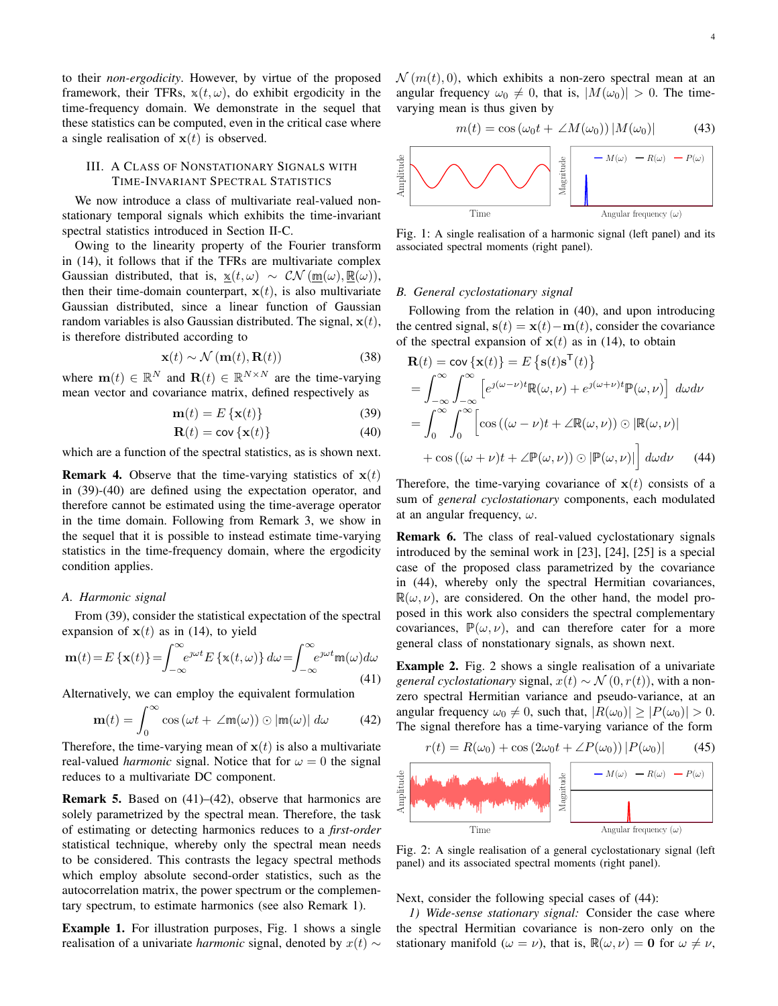to their *non-ergodicity*. However, by virtue of the proposed framework, their TFRs,  $x(t, \omega)$ , do exhibit ergodicity in the time-frequency domain. We demonstrate in the sequel that these statistics can be computed, even in the critical case where a single realisation of  $x(t)$  is observed.

# III. A CLASS OF NONSTATIONARY SIGNALS WITH TIME-INVARIANT SPECTRAL STATISTICS

We now introduce a class of multivariate real-valued nonstationary temporal signals which exhibits the time-invariant spectral statistics introduced in Section II-C.

Owing to the linearity property of the Fourier transform in (14), it follows that if the TFRs are multivariate complex Gaussian distributed, that is,  $\underline{x}(t, \omega) \sim \mathcal{CN}(\underline{m}(\omega), \underline{R}(\omega)),$ then their time-domain counterpart,  $x(t)$ , is also multivariate Gaussian distributed, since a linear function of Gaussian random variables is also Gaussian distributed. The signal,  $x(t)$ , is therefore distributed according to

$$
\mathbf{x}(t) \sim \mathcal{N}\left(\mathbf{m}(t), \mathbf{R}(t)\right) \tag{38}
$$

where  $\mathbf{m}(t) \in \mathbb{R}^N$  and  $\mathbf{R}(t) \in \mathbb{R}^{N \times N}$  are the time-varying mean vector and covariance matrix, defined respectively as

$$
\mathbf{m}(t) = E\left\{ \mathbf{x}(t) \right\} \tag{39}
$$

$$
\mathbf{R}(t) = \text{cov}\left\{\mathbf{x}(t)\right\} \tag{40}
$$

which are a function of the spectral statistics, as is shown next.

**Remark 4.** Observe that the time-varying statistics of  $x(t)$ in (39)-(40) are defined using the expectation operator, and therefore cannot be estimated using the time-average operator in the time domain. Following from Remark 3, we show in the sequel that it is possible to instead estimate time-varying statistics in the time-frequency domain, where the ergodicity condition applies.

#### *A. Harmonic signal*

From (39), consider the statistical expectation of the spectral expansion of  $x(t)$  as in (14), to yield

$$
\mathbf{m}(t) = E\left\{ \mathbf{x}(t) \right\} = \int_{-\infty}^{\infty} e^{j\omega t} E\left\{ \mathbf{x}(t,\omega) \right\} d\omega = \int_{-\infty}^{\infty} e^{j\omega t} \mathbf{m}(\omega) d\omega \tag{41}
$$

Alternatively, we can employ the equivalent formulation

$$
\mathbf{m}(t) = \int_0^\infty \cos\left(\omega t + \angle \mathbf{m}(\omega)\right) \odot |\mathbf{m}(\omega)| \, d\omega \tag{42}
$$

Therefore, the time-varying mean of  $x(t)$  is also a multivariate real-valued *harmonic* signal. Notice that for  $\omega = 0$  the signal reduces to a multivariate DC component.

Remark 5. Based on (41)–(42), observe that harmonics are solely parametrized by the spectral mean. Therefore, the task of estimating or detecting harmonics reduces to a *first-order* statistical technique, whereby only the spectral mean needs to be considered. This contrasts the legacy spectral methods which employ absolute second-order statistics, such as the autocorrelation matrix, the power spectrum or the complementary spectrum, to estimate harmonics (see also Remark 1).

Example 1. For illustration purposes, Fig. 1 shows a single realisation of a univariate *harmonic* signal, denoted by  $x(t)$  ∼  $\mathcal{N}(m(t), 0)$ , which exhibits a non-zero spectral mean at an angular frequency  $\omega_0 \neq 0$ , that is,  $|M(\omega_0)| > 0$ . The timevarying mean is thus given by

$$
m(t) = \cos(\omega_0 t + \angle M(\omega_0)) |M(\omega_0)| \tag{43}
$$



Fig. 1: A single realisation of a harmonic signal (left panel) and its associated spectral moments (right panel).

## *B. General cyclostationary signal*

Following from the relation in (40), and upon introducing the centred signal,  $s(t) = x(t) - m(t)$ , consider the covariance of the spectral expansion of  $x(t)$  as in (14), to obtain

$$
\mathbf{R}(t) = \mathbf{cov}\left\{\mathbf{x}(t)\right\} = E\left\{\mathbf{s}(t)\mathbf{s}^{\mathsf{T}}(t)\right\}
$$

$$
= \int_{-\infty}^{\infty} \int_{-\infty}^{\infty} \left[e^{j(\omega-\nu)t} \mathbb{R}(\omega,\nu) + e^{j(\omega+\nu)t} \mathbb{P}(\omega,\nu)\right] d\omega d\nu
$$

$$
= \int_{0}^{\infty} \int_{0}^{\infty} \left[\cos\left((\omega-\nu)t + \angle \mathbb{R}(\omega,\nu)\right) \odot |\mathbb{R}(\omega,\nu)| + \cos\left((\omega+\nu)t + \angle \mathbb{P}(\omega,\nu)\right) \odot |\mathbb{P}(\omega,\nu)|\right] d\omega d\nu \tag{44}
$$

Therefore, the time-varying covariance of  $x(t)$  consists of a sum of *general cyclostationary* components, each modulated at an angular frequency,  $\omega$ .

Remark 6. The class of real-valued cyclostationary signals introduced by the seminal work in [23], [24], [25] is a special case of the proposed class parametrized by the covariance in (44), whereby only the spectral Hermitian covariances,  $\mathbb{R}(\omega, \nu)$ , are considered. On the other hand, the model proposed in this work also considers the spectral complementary covariances,  $\mathbb{P}(\omega, \nu)$ , and can therefore cater for a more general class of nonstationary signals, as shown next.

Example 2. Fig. 2 shows a single realisation of a univariate *general cyclostationary* signal,  $x(t) \sim \mathcal{N}(0, r(t))$ , with a nonzero spectral Hermitian variance and pseudo-variance, at an angular frequency  $\omega_0 \neq 0$ , such that,  $|R(\omega_0)| \geq |P(\omega_0)| > 0$ . The signal therefore has a time-varying variance of the form

$$
r(t) = R(\omega_0) + \cos(2\omega_0 t + \angle P(\omega_0)) |P(\omega_0)| \tag{45}
$$



Fig. 2: A single realisation of a general cyclostationary signal (left panel) and its associated spectral moments (right panel).

Next, consider the following special cases of (44):

*1) Wide-sense stationary signal:* Consider the case where the spectral Hermitian covariance is non-zero only on the stationary manifold ( $\omega = \nu$ ), that is,  $\mathbb{R}(\omega, \nu) = 0$  for  $\omega \neq \nu$ ,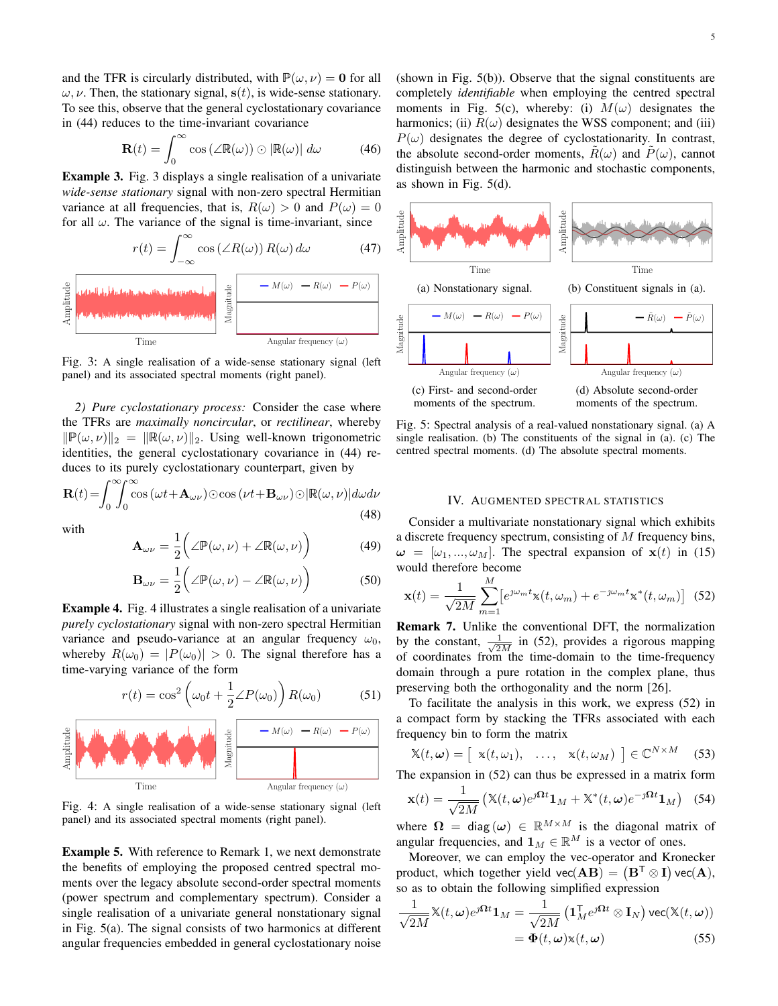and the TFR is circularly distributed, with  $\mathbb{P}(\omega, \nu) = 0$  for all  $\omega, \nu$ . Then, the stationary signal,  $s(t)$ , is wide-sense stationary. To see this, observe that the general cyclostationary covariance in (44) reduces to the time-invariant covariance

$$
\mathbf{R}(t) = \int_0^\infty \cos\left(\angle \mathbb{R}(\omega)\right) \odot \left|\mathbb{R}(\omega)\right| \, d\omega \tag{46}
$$

Example 3. Fig. 3 displays a single realisation of a univariate *wide-sense stationary* signal with non-zero spectral Hermitian variance at all frequencies, that is,  $R(\omega) > 0$  and  $P(\omega) = 0$ for all  $\omega$ . The variance of the signal is time-invariant, since



Fig. 3: A single realisation of a wide-sense stationary signal (left panel) and its associated spectral moments (right panel).

*2) Pure cyclostationary process:* Consider the case where the TFRs are *maximally noncircular*, or *rectilinear*, whereby  $\|\mathbb{P}(\omega, \nu)\|_2 = \|\mathbb{R}(\omega, \nu)\|_2$ . Using well-known trigonometric identities, the general cyclostationary covariance in (44) reduces to its purely cyclostationary counterpart, given by

$$
\mathbf{R}(t) = \int_0^\infty \int_0^\infty \cos\left(\omega t + \mathbf{A}_{\omega\nu}\right) \odot \cos\left(\nu t + \mathbf{B}_{\omega\nu}\right) \odot |\mathbb{R}(\omega, \nu)| d\omega d\nu \tag{48}
$$

with

$$
\mathbf{A}_{\omega\nu} = \frac{1}{2} \bigg( \angle \mathbb{P}(\omega, \nu) + \angle \mathbb{R}(\omega, \nu) \bigg) \tag{49}
$$

$$
\mathbf{B}_{\omega\nu} = \frac{1}{2} \bigg( \angle \mathbb{P}(\omega, \nu) - \angle \mathbb{R}(\omega, \nu) \bigg) \tag{50}
$$

Example 4. Fig. 4 illustrates a single realisation of a univariate *purely cyclostationary* signal with non-zero spectral Hermitian variance and pseudo-variance at an angular frequency  $\omega_0$ , whereby  $R(\omega_0) = |P(\omega_0)| > 0$ . The signal therefore has a time-varying variance of the form

$$
r(t) = \cos^2\left(\omega_0 t + \frac{1}{2}\angle P(\omega_0)\right) R(\omega_0)
$$
 (51)



Fig. 4: A single realisation of a wide-sense stationary signal (left panel) and its associated spectral moments (right panel).

Example 5. With reference to Remark 1, we next demonstrate the benefits of employing the proposed centred spectral moments over the legacy absolute second-order spectral moments (power spectrum and complementary spectrum). Consider a single realisation of a univariate general nonstationary signal in Fig. 5(a). The signal consists of two harmonics at different angular frequencies embedded in general cyclostationary noise (shown in Fig. 5(b)). Observe that the signal constituents are completely *identifiable* when employing the centred spectral moments in Fig. 5(c), whereby: (i)  $M(\omega)$  designates the harmonics; (ii)  $R(\omega)$  designates the WSS component; and (iii)  $P(\omega)$  designates the degree of cyclostationarity. In contrast, the absolute second-order moments,  $R(\omega)$  and  $P(\omega)$ , cannot distinguish between the harmonic and stochastic components, as shown in Fig. 5(d).



Fig. 5: Spectral analysis of a real-valued nonstationary signal. (a) A single realisation. (b) The constituents of the signal in (a). (c) The centred spectral moments. (d) The absolute spectral moments.

#### IV. AUGMENTED SPECTRAL STATISTICS

Consider a multivariate nonstationary signal which exhibits a discrete frequency spectrum, consisting of  $M$  frequency bins,  $\omega = [\omega_1, ..., \omega_M]$ . The spectral expansion of  $x(t)$  in (15) would therefore become

$$
\mathbf{x}(t) = \frac{1}{\sqrt{2M}} \sum_{m=1}^{M} \left[ e^{\jmath \omega_m t} \mathbf{x}(t, \omega_m) + e^{-\jmath \omega_m t} \mathbf{x}^*(t, \omega_m) \right] (52)
$$

Remark 7. Unlike the conventional DFT, the normalization by the constant,  $\frac{1}{\sqrt{2}}$  $\frac{1}{2M}$  in (52), provides a rigorous mapping of coordinates from the time-domain to the time-frequency domain through a pure rotation in the complex plane, thus preserving both the orthogonality and the norm [26].

To facilitate the analysis in this work, we express (52) in a compact form by stacking the TFRs associated with each frequency bin to form the matrix

$$
\mathbb{X}(t,\omega) = [\mathbf{x}(t,\omega_1), \quad \dots, \quad \mathbf{x}(t,\omega_M) \ ] \in \mathbb{C}^{N \times M} \quad (53)
$$

The expansion in (52) can thus be expressed in a matrix form

$$
\mathbf{x}(t) = \frac{1}{\sqrt{2M}} \left( \mathbb{X}(t, \omega) e^{\jmath \Omega t} \mathbf{1}_M + \mathbb{X}^*(t, \omega) e^{-\jmath \Omega t} \mathbf{1}_M \right) \tag{54}
$$

where  $\Omega = \text{diag}(\omega) \in \mathbb{R}^{M \times M}$  is the diagonal matrix of angular frequencies, and  $\mathbf{1}_M \in \mathbb{R}^M$  is a vector of ones.

Moreover, we can employ the vec-operator and Kronecker product, which together yield  $\text{vec}(\mathbf{A}\mathbf{B}) = (\mathbf{B}^\mathsf{T} \otimes \mathbf{I}) \text{vec}(\mathbf{A}),$ so as to obtain the following simplified expression

$$
\frac{1}{\sqrt{2M}}\mathbb{X}(t,\omega)e^{j\Omega t}\mathbf{1}_M = \frac{1}{\sqrt{2M}}\left(\mathbf{1}_M^{\mathsf{T}}e^{j\Omega t} \otimes \mathbf{I}_N\right)\text{vec}(\mathbb{X}(t,\omega))
$$

$$
= \Phi(t,\omega)\mathbb{X}(t,\omega) \tag{55}
$$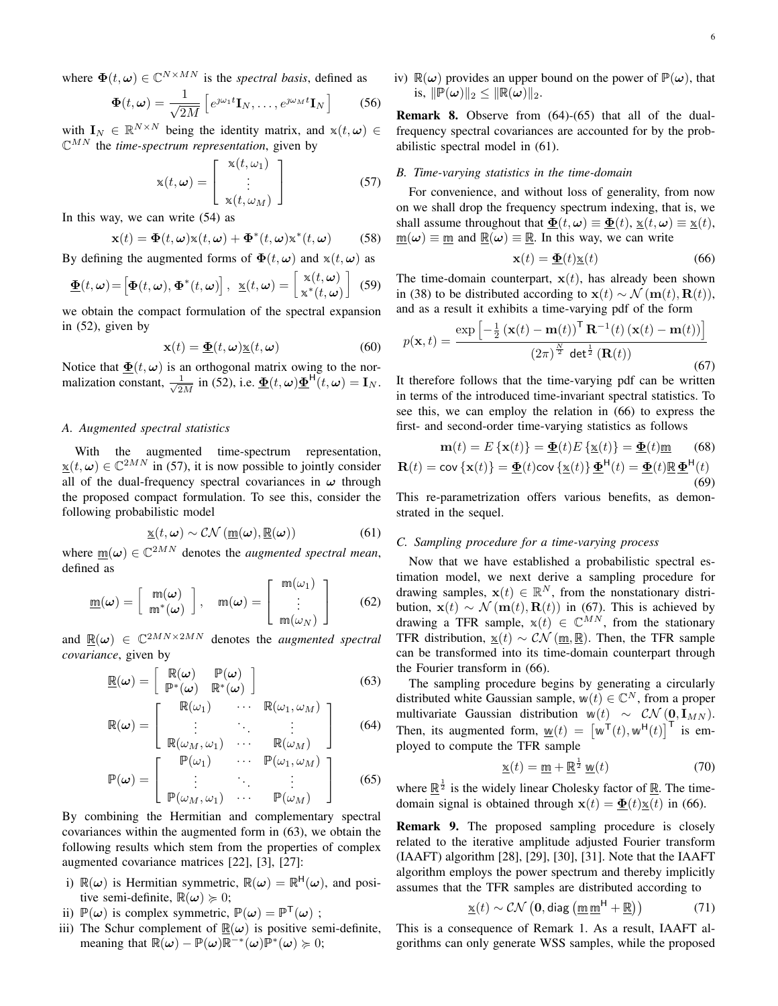where  $\Phi(t, \omega) \in \mathbb{C}^{N \times MN}$  is the *spectral basis*, defined as

$$
\mathbf{\Phi}(t,\omega) = \frac{1}{\sqrt{2M}} \left[ e^{\jmath\omega_1 t} \mathbf{I}_N, \dots, e^{\jmath\omega_M t} \mathbf{I}_N \right]
$$
(56)

with  $\mathbf{I}_N \in \mathbb{R}^{N \times N}$  being the identity matrix, and  $\mathbf{x}(t, \omega) \in \mathbb{R}^{M \times N}$  $\mathbb{C}^{MN}$  the *time-spectrum representation*, given by

$$
\mathbf{x}(t,\omega) = \begin{bmatrix} \mathbf{x}(t,\omega_1) \\ \vdots \\ \mathbf{x}(t,\omega_M) \end{bmatrix}
$$
 (57)

In this way, we can write (54) as

$$
\mathbf{x}(t) = \mathbf{\Phi}(t, \boldsymbol{\omega}) \mathbf{x}(t, \boldsymbol{\omega}) + \mathbf{\Phi}^*(t, \boldsymbol{\omega}) \mathbf{x}^*(t, \boldsymbol{\omega})
$$
 (58)

By defining the augmented forms of  $\mathbf{\Phi}(t, \omega)$  and  $\mathbf{x}(t, \omega)$  as

$$
\underline{\mathbf{\Phi}}(t,\boldsymbol{\omega}) = \left[\mathbf{\Phi}(t,\boldsymbol{\omega}),\mathbf{\Phi}^*(t,\boldsymbol{\omega})\right], \ \ \underline{\mathbf{x}}(t,\boldsymbol{\omega}) = \begin{bmatrix} \mathbf{x}(t,\boldsymbol{\omega}) \\ \mathbf{x}^*(t,\boldsymbol{\omega}) \end{bmatrix} \ (59)
$$

we obtain the compact formulation of the spectral expansion in (52), given by

$$
\mathbf{x}(t) = \underline{\mathbf{\Phi}}(t, \omega) \underline{\mathbf{x}}(t, \omega) \tag{60}
$$

Notice that  $\underline{\Phi}(t, \omega)$  is an orthogonal matrix owing to the normalization constant,  $\frac{1}{\sqrt{2}}$  $\frac{1}{2M}$  in (52), i.e.  $\underline{\Phi}(t,\omega)\underline{\Phi}^{\mathsf{H}}(t,\omega) = \mathbf{I}_N$ .

#### *A. Augmented spectral statistics*

With the augmented time-spectrum representation,  $\underline{\mathbf{x}}(t,\omega) \in \mathbb{C}^{2MN}$  in (57), it is now possible to jointly consider all of the dual-frequency spectral covariances in  $\omega$  through the proposed compact formulation. To see this, consider the following probabilistic model

$$
\underline{\mathbf{x}}(t,\omega) \sim \mathcal{CN}\left(\underline{\mathbf{m}}(\omega), \underline{\mathbf{R}}(\omega)\right) \tag{61}
$$

where  $\underline{\mathfrak{m}}(\omega) \in \mathbb{C}^{2MN}$  denotes the *augmented spectral mean*, defined as

$$
\underline{\mathbf{m}}(\boldsymbol{\omega}) = \left[ \begin{array}{c} \mathbf{m}(\boldsymbol{\omega}) \\ \mathbf{m}^*(\boldsymbol{\omega}) \end{array} \right], \quad \mathbf{m}(\boldsymbol{\omega}) = \left[ \begin{array}{c} \mathbf{m}(\omega_1) \\ \vdots \\ \mathbf{m}(\omega_N) \end{array} \right] \tag{62}
$$

and  $\mathbb{R}(\omega) \in \mathbb{C}^{2MN \times 2MN}$  denotes the *augmented spectral covariance*, given by

$$
\underline{\mathbb{R}}(\omega) = \left[ \begin{array}{cc} \mathbb{R}(\omega) & \mathbb{P}(\omega) \\ \mathbb{P}^*(\omega) & \mathbb{R}^*(\omega) \end{array} \right] \tag{63}
$$

$$
\mathbb{R}(\omega) = \left[ \begin{array}{ccc} \mathbb{R}(\omega_1) & \cdots & \mathbb{R}(\omega_1, \omega_M) \\ \vdots & \ddots & \vdots \end{array} \right] \qquad (64)
$$

$$
\mathbb{P}(\omega) = \begin{bmatrix} \mathbb{R}(\omega_M, \omega_1) & \cdots & \mathbb{R}(\omega_M) \\ \vdots & \ddots & \vdots \\ \mathbb{P}(\omega_M, \omega_1) & \cdots & \mathbb{P}(\omega_M) \end{bmatrix}
$$
(65)

By combining the Hermitian and complementary spectral covariances within the augmented form in (63), we obtain the following results which stem from the properties of complex augmented covariance matrices [22], [3], [27]:

- i)  $\mathbb{R}(\omega)$  is Hermitian symmetric,  $\mathbb{R}(\omega) = \mathbb{R}^H(\omega)$ , and positive semi-definite,  $\mathbb{R}(\omega) \geq 0$ ;
- ii)  $\mathbb{P}(\omega)$  is complex symmetric,  $\mathbb{P}(\omega) = \mathbb{P}^{\mathsf{T}}(\omega)$ ;
- iii) The Schur complement of  $\mathbb{R}(\omega)$  is positive semi-definite, meaning that  $\mathbb{R}(\omega) - \mathbb{P}(\omega)\mathbb{R}^{-*}(\omega)\mathbb{P}^*(\omega) \succcurlyeq 0;$

iv)  $\mathbb{R}(\omega)$  provides an upper bound on the power of  $\mathbb{P}(\omega)$ , that is,  $\|\mathbb{P}(\omega)\|_2 < \|\mathbb{R}(\omega)\|_2$ .

Remark 8. Observe from (64)-(65) that all of the dualfrequency spectral covariances are accounted for by the probabilistic spectral model in (61).

## *B. Time-varying statistics in the time-domain*

For convenience, and without loss of generality, from now on we shall drop the frequency spectrum indexing, that is, we shall assume throughout that  $\underline{\Phi}(t, \omega) \equiv \underline{\Phi}(t), \underline{x}(t, \omega) \equiv \underline{x}(t),$  $\underline{m}(\omega) \equiv \underline{m}$  and  $\underline{R}(\omega) \equiv \underline{R}$ . In this way, we can write

$$
\mathbf{x}(t) = \underline{\mathbf{\Phi}}(t)\underline{\mathbf{x}}(t) \tag{66}
$$

The time-domain counterpart,  $x(t)$ , has already been shown in (38) to be distributed according to  $\mathbf{x}(t) \sim \mathcal{N}(\mathbf{m}(t), \mathbf{R}(t)),$ and as a result it exhibits a time-varying pdf of the form

$$
p(\mathbf{x},t) = \frac{\exp\left[-\frac{1}{2}\left(\mathbf{x}(t) - \mathbf{m}(t)\right)^{\mathsf{T}}\mathbf{R}^{-1}(t)\left(\mathbf{x}(t) - \mathbf{m}(t)\right)\right]}{\left(2\pi\right)^{\frac{N}{2}}\det^{\frac{1}{2}}\left(\mathbf{R}(t)\right)}\tag{67}
$$

It therefore follows that the time-varying pdf can be written in terms of the introduced time-invariant spectral statistics. To see this, we can employ the relation in (66) to express the first- and second-order time-varying statistics as follows

$$
\mathbf{m}(t) = E\left\{\mathbf{x}(t)\right\} = \underline{\mathbf{\Phi}}(t)E\left\{\underline{\mathbf{x}}(t)\right\} = \underline{\mathbf{\Phi}}(t)\underline{\mathbf{m}} \quad (68)
$$
\n
$$
\mathbf{R}(t) = \text{cov}\left\{\mathbf{x}(t)\right\} = \underline{\mathbf{\Phi}}(t)\text{cov}\left\{\underline{\mathbf{x}}(t)\right\}\underline{\mathbf{\Phi}}^{\mathsf{H}}(t) = \underline{\mathbf{\Phi}}(t)\underline{\mathbf{R}}\underline{\mathbf{\Phi}}^{\mathsf{H}}(t) \quad (69)
$$

This re-parametrization offers various benefits, as demonstrated in the sequel.

## *C. Sampling procedure for a time-varying process*

Now that we have established a probabilistic spectral estimation model, we next derive a sampling procedure for drawing samples,  $\mathbf{x}(t) \in \mathbb{R}^N$ , from the nonstationary distribution,  $\mathbf{x}(t) \sim \mathcal{N}(\mathbf{m}(t), \mathbf{R}(t))$  in (67). This is achieved by drawing a TFR sample,  $x(t) \in \mathbb{C}^{MN}$ , from the stationary TFR distribution,  $\underline{\mathbf{x}}(t) \sim \mathcal{CN}(\underline{\mathbf{m}}, \underline{\mathbf{R}})$ . Then, the TFR sample can be transformed into its time-domain counterpart through the Fourier transform in (66).

The sampling procedure begins by generating a circularly distributed white Gaussian sample,  $w(t) \in \mathbb{C}^N$ , from a proper multivariate Gaussian distribution w(t) ~  $CN$  (0, I<sub>MN</sub>). Then, its augmented form,  $\underline{w}(t) = [\overline{w}^{\mathsf{T}}(t), \overline{w}^{\mathsf{H}}(t)]^{\mathsf{T}}$  is employed to compute the TFR sample

$$
\underline{\mathbf{x}}(t) = \underline{\mathbf{m}} + \underline{\mathbf{R}}^{\frac{1}{2}} \underline{\mathbf{w}}(t) \tag{70}
$$

where  $\mathbb{R}^{\frac{1}{2}}$  is the widely linear Cholesky factor of  $\mathbb{R}$ . The timedomain signal is obtained through  $\mathbf{x}(t) = \underline{\mathbf{\Phi}}(t)\underline{\mathbf{x}}(t)$  in (66).

Remark 9. The proposed sampling procedure is closely related to the iterative amplitude adjusted Fourier transform (IAAFT) algorithm [28], [29], [30], [31]. Note that the IAAFT algorithm employs the power spectrum and thereby implicitly assumes that the TFR samples are distributed according to

$$
\underline{\mathbf{x}}(t) \sim \mathcal{CN}\left(\mathbf{0}, \text{diag}\left(\underline{\mathbf{m}} \underline{\mathbf{m}}^{\mathsf{H}} + \underline{\mathbf{R}}\right)\right) \tag{71}
$$

This is a consequence of Remark 1. As a result, IAAFT algorithms can only generate WSS samples, while the proposed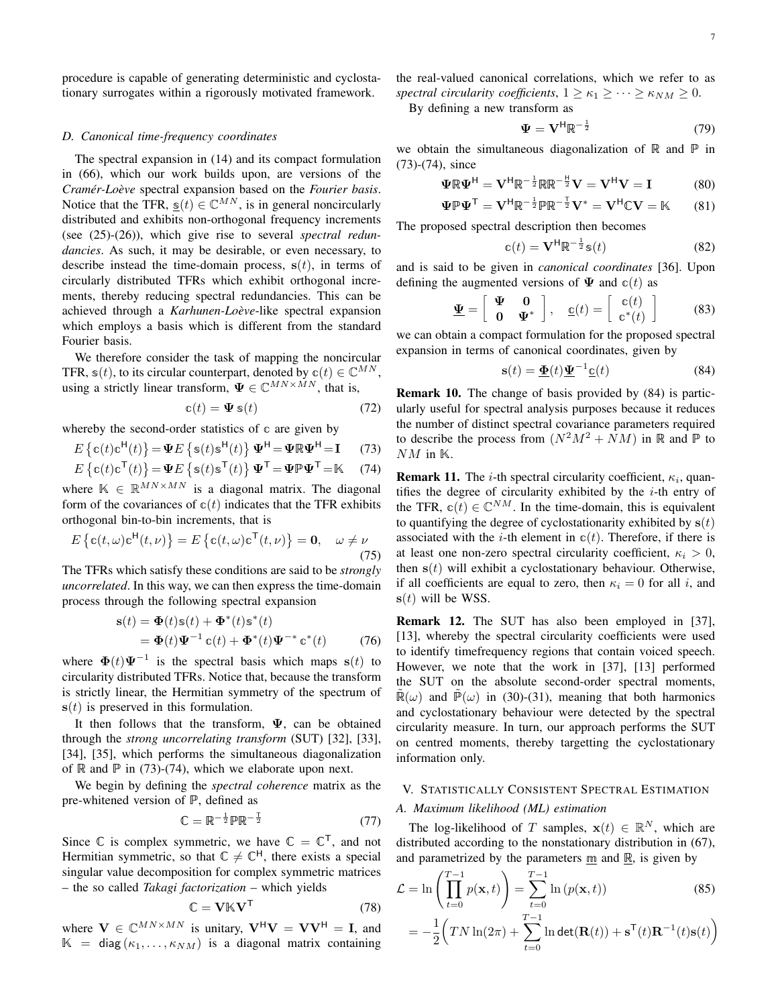procedure is capable of generating deterministic and cyclostationary surrogates within a rigorously motivated framework.

#### *D. Canonical time-frequency coordinates*

The spectral expansion in (14) and its compact formulation in (66), which our work builds upon, are versions of the *Cramér-Loève* spectral expansion based on the *Fourier basis*. Notice that the TFR,  $s(t) \in \mathbb{C}^{MN}$ , is in general noncircularly distributed and exhibits non-orthogonal frequency increments (see (25)-(26)), which give rise to several *spectral redundancies*. As such, it may be desirable, or even necessary, to describe instead the time-domain process,  $s(t)$ , in terms of circularly distributed TFRs which exhibit orthogonal increments, thereby reducing spectral redundancies. This can be achieved through a *Karhunen-Loève*-like spectral expansion which employs a basis which is different from the standard Fourier basis.

We therefore consider the task of mapping the noncircular TFR,  $s(t)$ , to its circular counterpart, denoted by  $c(t) \in \mathbb{C}^{MN}$ , using a strictly linear transform,  $\Psi \in \mathbb{C}^{MN \times MN}$ , that is,

$$
\mathbf{c}(t) = \mathbf{\Psi} \, \mathbf{s}(t) \tag{72}
$$

whereby the second-order statistics of c are given by

$$
E\left\{\mathbf{c}(t)\mathbf{c}^{\mathsf{H}}(t)\right\} = \Psi E\left\{\mathbf{s}(t)\mathbf{s}^{\mathsf{H}}(t)\right\}\Psi^{\mathsf{H}} = \Psi \mathbb{R}\Psi^{\mathsf{H}} = \mathbf{I} \tag{73}
$$

$$
E\left\{ \mathbf{c}(t)\mathbf{c}^{\mathsf{T}}(t) \right\} = \mathbf{\Psi}E\left\{ \mathbf{s}(t)\mathbf{s}^{\mathsf{T}}(t) \right\} \mathbf{\Psi}^{\mathsf{T}} = \mathbf{\Psi}\mathbb{P}\mathbf{\Psi}^{\mathsf{T}} = \mathbb{K} \quad (74)
$$

where  $\mathbb{K} \in \mathbb{R}^{MN \times MN}$  is a diagonal matrix. The diagonal form of the covariances of  $c(t)$  indicates that the TFR exhibits orthogonal bin-to-bin increments, that is

$$
E\left\{\mathbf{c}(t,\omega)\mathbf{c}^{\mathsf{H}}(t,\nu)\right\} = E\left\{\mathbf{c}(t,\omega)\mathbf{c}^{\mathsf{T}}(t,\nu)\right\} = \mathbf{0}, \quad \omega \neq \nu \tag{75}
$$

The TFRs which satisfy these conditions are said to be *strongly uncorrelated*. In this way, we can then express the time-domain process through the following spectral expansion

$$
\mathbf{s}(t) = \mathbf{\Phi}(t)\mathbf{s}(t) + \mathbf{\Phi}^*(t)\mathbf{s}^*(t)
$$
  
= 
$$
\mathbf{\Phi}(t)\mathbf{\Psi}^{-1}\mathbf{c}(t) + \mathbf{\Phi}^*(t)\mathbf{\Psi}^{-*}\mathbf{c}^*(t)
$$
 (76)

where  $\Phi(t)\Psi^{-1}$  is the spectral basis which maps  $s(t)$  to circularity distributed TFRs. Notice that, because the transform is strictly linear, the Hermitian symmetry of the spectrum of  $s(t)$  is preserved in this formulation.

It then follows that the transform,  $\Psi$ , can be obtained through the *strong uncorrelating transform* (SUT) [32], [33], [34], [35], which performs the simultaneous diagonalization of  $\mathbb R$  and  $\mathbb P$  in (73)-(74), which we elaborate upon next.

We begin by defining the *spectral coherence* matrix as the pre-whitened version of P, defined as

$$
\mathbb{C} = \mathbb{R}^{-\frac{1}{2}} \mathbb{P} \mathbb{R}^{-\frac{1}{2}} \tag{77}
$$

Since  $\mathbb C$  is complex symmetric, we have  $\mathbb C = \mathbb C^{T}$ , and not Hermitian symmetric, so that  $\mathbb{C} \neq \mathbb{C}^H$ , there exists a special singular value decomposition for complex symmetric matrices – the so called *Takagi factorization* – which yields

$$
\mathbb{C} = \mathbf{V} \mathbb{K} \mathbf{V}^{\mathsf{T}} \tag{78}
$$

where  $V \in \mathbb{C}^{MN \times MN}$  is unitary,  $V^H V = V V^H = I$ , and  $\mathbb{K}$  = diag  $(\kappa_1, \ldots, \kappa_{NM})$  is a diagonal matrix containing the real-valued canonical correlations, which we refer to as *spectral circularity coefficients*,  $1 > \kappa_1 > \cdots > \kappa_{NM} > 0$ .

By defining a new transform as

$$
\Psi = \mathbf{V}^{\mathsf{H}} \mathbb{R}^{-\frac{1}{2}} \tag{79}
$$

we obtain the simultaneous diagonalization of  $\mathbb R$  and  $\mathbb P$  in (73)-(74), since

$$
\Psi \mathbb{R} \Psi^{\mathsf{H}} = \mathbf{V}^{\mathsf{H}} \mathbb{R}^{-\frac{1}{2}} \mathbb{R} \mathbb{R}^{-\frac{\mathsf{H}}{2}} \mathbf{V} = \mathbf{V}^{\mathsf{H}} \mathbf{V} = \mathbf{I}
$$
 (80)

$$
\Psi \mathbb{P} \Psi^{\mathsf{T}} = \mathbf{V}^{\mathsf{H}} \mathbb{R}^{-\frac{1}{2}} \mathbb{P} \mathbb{R}^{-\frac{\mathsf{T}}{2}} \mathbf{V}^* = \mathbf{V}^{\mathsf{H}} \mathbb{C} \mathbf{V} = \mathbb{K} \qquad (81)
$$

The proposed spectral description then becomes

$$
\mathbf{c}(t) = \mathbf{V}^{\mathsf{H}} \mathbb{R}^{-\frac{1}{2}} \mathbf{s}(t)
$$
 (82)

and is said to be given in *canonical coordinates* [36]. Upon defining the augmented versions of  $\Psi$  and  $c(t)$  as

$$
\underline{\Psi} = \left[ \begin{array}{cc} \Psi & 0 \\ 0 & \Psi^* \end{array} \right], \quad \underline{\mathbf{c}}(t) = \left[ \begin{array}{c} \mathbf{c}(t) \\ \mathbf{c}^*(t) \end{array} \right] \tag{83}
$$

we can obtain a compact formulation for the proposed spectral expansion in terms of canonical coordinates, given by

$$
\mathbf{s}(t) = \underline{\mathbf{\Phi}}(t)\underline{\mathbf{\Psi}}^{-1}\underline{\mathbf{c}}(t) \tag{84}
$$

Remark 10. The change of basis provided by (84) is particularly useful for spectral analysis purposes because it reduces the number of distinct spectral covariance parameters required to describe the process from  $(N^2M^2 + NM)$  in R and P to  $NM$  in  $\mathbb K$ .

**Remark 11.** The *i*-th spectral circularity coefficient,  $\kappa_i$ , quantifies the degree of circularity exhibited by the  $i$ -th entry of the TFR,  $c(t) \in \mathbb{C}^{NM}$ . In the time-domain, this is equivalent to quantifying the degree of cyclostationarity exhibited by  $s(t)$ associated with the *i*-th element in  $c(t)$ . Therefore, if there is at least one non-zero spectral circularity coefficient,  $\kappa_i > 0$ , then  $s(t)$  will exhibit a cyclostationary behaviour. Otherwise, if all coefficients are equal to zero, then  $\kappa_i = 0$  for all i, and  $s(t)$  will be WSS.

Remark 12. The SUT has also been employed in [37], [13], whereby the spectral circularity coefficients were used to identify timefrequency regions that contain voiced speech. However, we note that the work in [37], [13] performed the SUT on the absolute second-order spectral moments,  $\mathbb{R}(\omega)$  and  $\mathbb{P}(\omega)$  in (30)-(31), meaning that both harmonics and cyclostationary behaviour were detected by the spectral circularity measure. In turn, our approach performs the SUT on centred moments, thereby targetting the cyclostationary information only.

# V. STATISTICALLY CONSISTENT SPECTRAL ESTIMATION

## *A. Maximum likelihood (ML) estimation*

The log-likelihood of T samples,  $\mathbf{x}(t) \in \mathbb{R}^N$ , which are distributed according to the nonstationary distribution in (67), and parametrized by the parameters  $m$  and  $\mathbb{R}$ , is given by

$$
\mathcal{L} = \ln\left(\prod_{t=0}^{T-1} p(\mathbf{x}, t)\right) = \sum_{t=0}^{T-1} \ln\left(p(\mathbf{x}, t)\right)
$$
(85)  

$$
= -\frac{1}{2} \Big( TN \ln(2\pi) + \sum_{t=0}^{T-1} \ln \det(\mathbf{R}(t)) + \mathbf{s}^{\mathsf{T}}(t)\mathbf{R}^{-1}(t)\mathbf{s}(t) \Big)
$$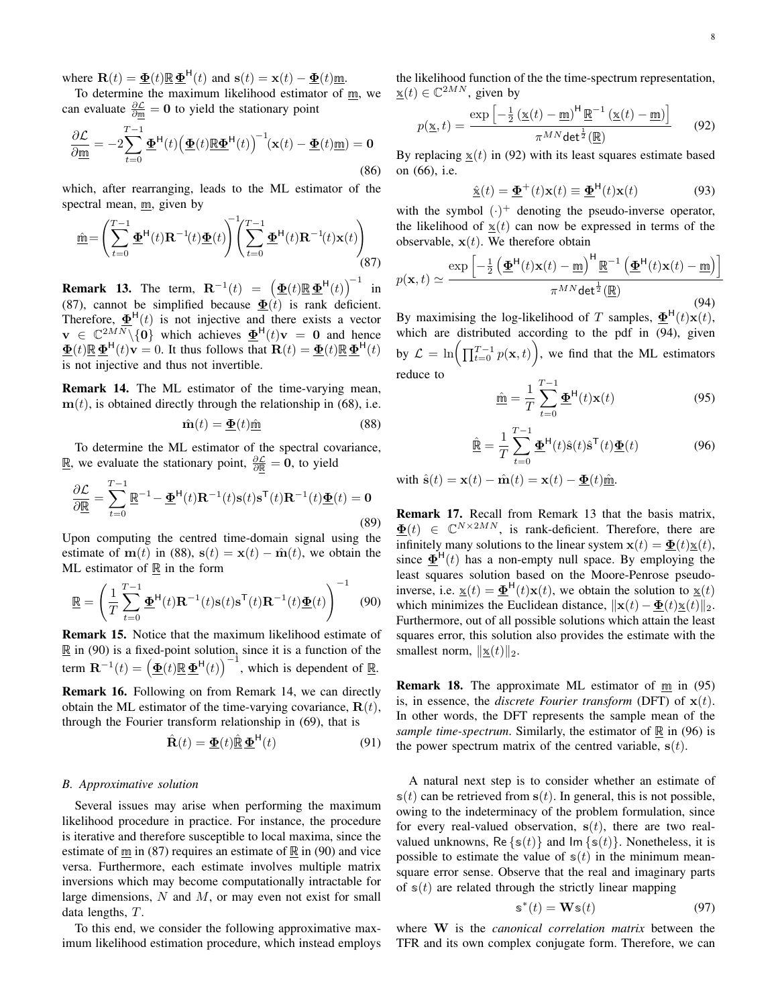where  $\mathbf{R}(t) = \underline{\mathbf{\Phi}}(t) \underline{\mathbf{R}} \underline{\mathbf{\Phi}}^{\mathsf{H}}(t)$  and  $\mathbf{s}(t) = \mathbf{x}(t) - \underline{\mathbf{\Phi}}(t) \underline{\mathbf{m}}$ .

To determine the maximum likelihood estimator of  $\underline{m}$ , we can evaluate  $\frac{\partial \mathcal{L}}{\partial m} = 0$  to yield the stationary point

$$
\frac{\partial \mathcal{L}}{\partial \underline{\mathfrak{m}}} = -2 \sum_{t=0}^{T-1} \underline{\Phi}^{\mathsf{H}}(t) \left( \underline{\Phi}(t) \underline{\mathbb{R}} \underline{\Phi}^{\mathsf{H}}(t) \right)^{-1} (\mathbf{x}(t) - \underline{\Phi}(t) \underline{\mathfrak{m}}) = \mathbf{0}
$$
\n(86)

which, after rearranging, leads to the ML estimator of the spectral mean, m, given by

$$
\underline{\hat{\mathbf{m}}} = \left(\sum_{t=0}^{T-1} \underline{\mathbf{\Phi}}^{\mathsf{H}}(t) \mathbf{R}^{-1}(t) \underline{\mathbf{\Phi}}(t)\right)^{T} \left(\sum_{t=0}^{T-1} \underline{\mathbf{\Phi}}^{\mathsf{H}}(t) \mathbf{R}^{-1}(t) \mathbf{x}(t)\right)
$$
\n(87)

**Remark 13.** The term,  $\mathbf{R}^{-1}(t) = \left(\frac{\mathbf{\Phi}(t) \mathbf{\mathbb{R}} \mathbf{\Phi}^{\mathsf{H}}(t)}{\mathbf{\Phi}(t)}\right)^{-1}$  in (87), cannot be simplified because  $\Phi(t)$  is rank deficient. Therefore,  $\mathbf{\underline{\Phi}}^{\mathsf{H}}(t)$  is not injective and there exists a vector  $\mathbf{v} \in \mathbb{C}^{2MN} \setminus \{0\}$  which achieves  $\mathbf{\underline{\Phi}}^{\mathsf{H}}(t)\mathbf{v} = \mathbf{0}$  and hence  $\underline{\mathbf{\Phi}}(t)\mathbb{R}\underline{\mathbf{\Phi}}^{\mathsf{H}}(t)\mathbf{v}=0$ . It thus follows that  $\mathbf{R}(t) = \underline{\mathbf{\Phi}}(t)\mathbb{R}\underline{\mathbf{\Phi}}^{\mathsf{H}}(t)$ is not injective and thus not invertible.

Remark 14. The ML estimator of the time-varying mean,  $m(t)$ , is obtained directly through the relationship in (68), i.e.

$$
\hat{\mathbf{m}}(t) = \underline{\mathbf{\Phi}}(t)\underline{\hat{\mathbf{m}}}
$$
\n(88)

To determine the ML estimator of the spectral covariance, <u>ℝ</u>, we evaluate the stationary point,  $\frac{\partial \mathcal{L}}{\partial \mathbb{R}} = 0$ , to yield

$$
\frac{\partial \mathcal{L}}{\partial \mathbf{R}} = \sum_{t=0}^{T-1} \mathbf{R}^{-1} - \underline{\mathbf{\Phi}}^{\mathsf{H}}(t) \mathbf{R}^{-1}(t) \mathbf{s}(t) \mathbf{s}^{\mathsf{T}}(t) \mathbf{R}^{-1}(t) \underline{\mathbf{\Phi}}(t) = \mathbf{0}
$$
\n(89)

Upon computing the centred time-domain signal using the estimate of m(t) in (88),  $s(t) = x(t) - \hat{m}(t)$ , we obtain the ML estimator of  $\mathbb R$  in the form

$$
\underline{\mathbb{R}} = \left(\frac{1}{T} \sum_{t=0}^{T-1} \underline{\mathbf{\Phi}}^{\mathsf{H}}(t) \mathbf{R}^{-1}(t) \mathbf{s}(t) \mathbf{s}^{\mathsf{T}}(t) \mathbf{R}^{-1}(t) \underline{\mathbf{\Phi}}(t)\right)^{-1} \quad (90)
$$

Remark 15. Notice that the maximum likelihood estimate of  $\mathbb{R}$  in (90) is a fixed-point solution, since it is a function of the term  $\mathbf{R}^{-1}(t) = \left(\mathbf{\underline{\Phi}}(t)\mathbf{\mathbb{R}}\mathbf{\underline{\Phi}}^{\mathsf{H}}(t)\right)^{-1}$ , which is dependent of  $\mathbf{\mathbb{R}}$ . Remark 16. Following on from Remark 14, we can directly obtain the ML estimator of the time-varying covariance,  $\mathbf{R}(t)$ , through the Fourier transform relationship in (69), that is

$$
\hat{\mathbf{R}}(t) = \underline{\mathbf{\Phi}}(t)\hat{\mathbf{\mathbb{R}}}\underline{\mathbf{\Phi}}^{\mathsf{H}}(t)
$$
 (91)

#### *B. Approximative solution*

Several issues may arise when performing the maximum likelihood procedure in practice. For instance, the procedure is iterative and therefore susceptible to local maxima, since the estimate of  $\underline{m}$  in (87) requires an estimate of  $\underline{R}$  in (90) and vice versa. Furthermore, each estimate involves multiple matrix inversions which may become computationally intractable for large dimensions,  $N$  and  $M$ , or may even not exist for small data lengths, T.

To this end, we consider the following approximative maximum likelihood estimation procedure, which instead employs the likelihood function of the the time-spectrum representation,  $\underline{\mathbf{x}}(t) \in \mathbb{C}^{2MN}$ , given by

$$
p(\underline{\mathbf{x}},t) = \frac{\exp\left[-\frac{1}{2}\left(\underline{\mathbf{x}}(t) - \underline{\mathbf{m}}\right)^{\mathsf{H}} \underline{\mathbf{R}}^{-1}\left(\underline{\mathbf{x}}(t) - \underline{\mathbf{m}}\right)\right]}{\pi^{MN} \det^{\frac{1}{2}}(\underline{\mathbf{R}})}\tag{92}
$$

By replacing  $x(t)$  in (92) with its least squares estimate based on (66), i.e.

$$
\hat{\underline{\mathbf{x}}}(t) = \underline{\underline{\Phi}}^{+}(t)\mathbf{x}(t) \equiv \underline{\underline{\Phi}}^{H}(t)\mathbf{x}(t)
$$
\n(93)

with the symbol  $(\cdot)^+$  denoting the pseudo-inverse operator, the likelihood of  $x(t)$  can now be expressed in terms of the observable,  $x(t)$ . We therefore obtain

$$
p(\mathbf{x},t) \simeq \frac{\exp\left[-\frac{1}{2}\left(\underline{\Phi}^{\mathsf{H}}(t)\mathbf{x}(t) - \underline{\mathfrak{m}}\right)^{\mathsf{H}}\underline{\mathbb{R}}^{-1}\left(\underline{\Phi}^{\mathsf{H}}(t)\mathbf{x}(t) - \underline{\mathfrak{m}}\right)\right]}{\pi^{MN}\det^{\frac{1}{2}}(\underline{\mathbb{R}})}
$$
(94)

By maximising the log-likelihood of T samples,  $\underline{\Phi}^{\mathsf{H}}(t)\mathbf{x}(t)$ , which are distributed according to the pdf in (94), given by  $\mathcal{L} = \ln\left(\prod_{t=0}^{T-1} p(\mathbf{x},t)\right)$ , we find that the ML estimators reduce to

$$
\hat{\mathbf{m}} = \frac{1}{T} \sum_{t=0}^{T-1} \underline{\mathbf{\Phi}}^{\mathsf{H}}(t) \mathbf{x}(t)
$$
\n(95)

$$
\hat{\mathbb{R}} = \frac{1}{T} \sum_{t=0}^{T-1} \underline{\Phi}^{\mathsf{H}}(t) \hat{\mathbf{s}}(t) \hat{\mathbf{s}}^{\mathsf{T}}(t) \underline{\Phi}(t)
$$
(96)

with  $\hat{\mathbf{s}}(t) = \mathbf{x}(t) - \hat{\mathbf{m}}(t) = \mathbf{x}(t) - \Phi(t)\hat{\mathfrak{m}}$ .

Remark 17. Recall from Remark 13 that the basis matrix,  $\underline{\Phi}(t) \in \mathbb{C}^{N \times 2MN}$ , is rank-deficient. Therefore, there are infinitely many solutions to the linear system  $\mathbf{x}(t) = \underline{\mathbf{\Phi}}(t)\mathbf{x}(t)$ , since  $\mathbf{\underline{\Phi}}^{\mathsf{H}}(t)$  has a non-empty null space. By employing the least squares solution based on the Moore-Penrose pseudoinverse, i.e.  $\underline{\mathbf{x}}(t) = \underline{\mathbf{\Phi}}^{\mathsf{H}}(t)\mathbf{x}(t)$ , we obtain the solution to  $\underline{\mathbf{x}}(t)$ which minimizes the Euclidean distance,  $\|\mathbf{x}(t) - \underline{\mathbf{\Phi}}(t)\underline{\mathbf{x}}(t)\|_2$ . Furthermore, out of all possible solutions which attain the least squares error, this solution also provides the estimate with the smallest norm,  $\Vert \underline{\mathbf{x}}(t) \Vert_2$ .

**Remark 18.** The approximate ML estimator of  $\underline{m}$  in (95) is, in essence, the *discrete Fourier transform* (DFT) of  $x(t)$ . In other words, the DFT represents the sample mean of the *sample time-spectrum.* Similarly, the estimator of  $\mathbb R$  in (96) is the power spectrum matrix of the centred variable,  $s(t)$ .

A natural next step is to consider whether an estimate of  $s(t)$  can be retrieved from  $s(t)$ . In general, this is not possible, owing to the indeterminacy of the problem formulation, since for every real-valued observation,  $s(t)$ , there are two realvalued unknowns, Re  $\{s(t)\}\$  and  $\text{Im }\{s(t)\}\$ . Nonetheless, it is possible to estimate the value of  $s(t)$  in the minimum meansquare error sense. Observe that the real and imaginary parts of  $s(t)$  are related through the strictly linear mapping

$$
\mathbf{s}^*(t) = \mathbf{W}\mathbf{s}(t) \tag{97}
$$

where W is the *canonical correlation matrix* between the TFR and its own complex conjugate form. Therefore, we can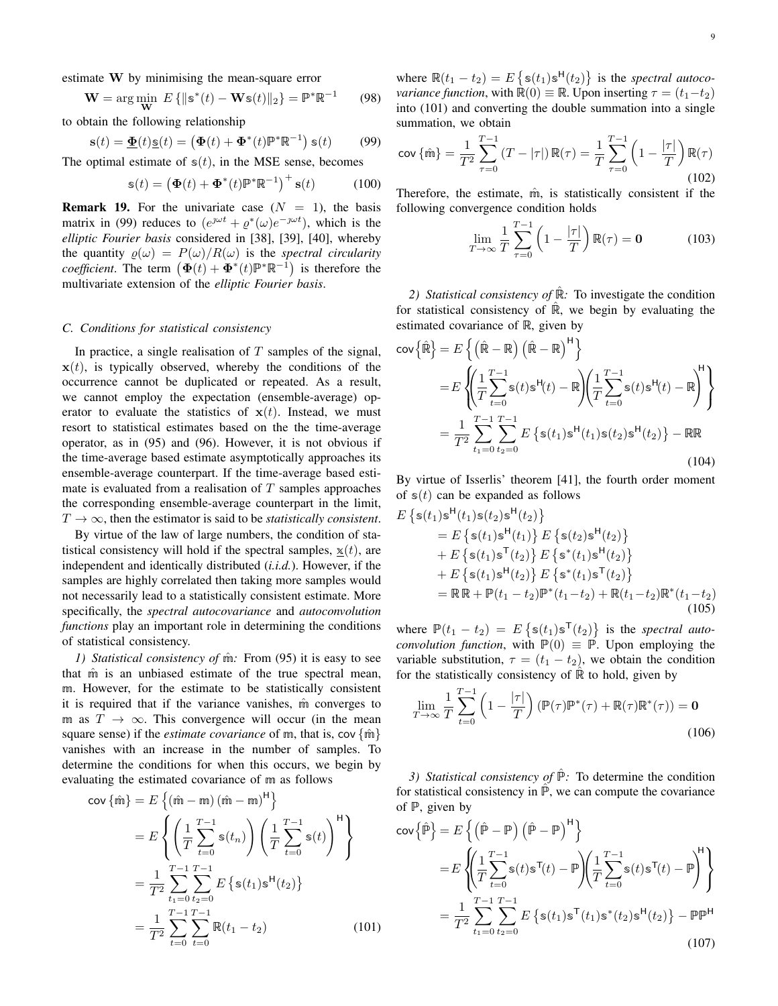estimate W by minimising the mean-square error

$$
\mathbf{W} = \arg\min_{\mathbf{W}} E\left\{ \|\mathbf{s}^*(t) - \mathbf{W}\mathbf{s}(t)\|_2 \right\} = \mathbb{P}^*\mathbb{R}^{-1} \tag{98}
$$

to obtain the following relationship

$$
\mathbf{s}(t) = \underline{\mathbf{\Phi}}(t)\underline{\mathbf{s}}(t) = \left(\mathbf{\Phi}(t) + \mathbf{\Phi}^*(t)\mathbb{P}^*\mathbb{R}^{-1}\right)\mathbf{s}(t) \tag{99}
$$

The optimal estimate of  $s(t)$ , in the MSE sense, becomes

$$
\mathbf{s}(t) = \left(\mathbf{\Phi}(t) + \mathbf{\Phi}^*(t)\mathbb{P}^*\mathbb{R}^{-1}\right)^+ \mathbf{s}(t) \tag{100}
$$

**Remark 19.** For the univariate case  $(N = 1)$ , the basis matrix in (99) reduces to  $(e^{j\omega t} + e^*(\omega)e^{-j\omega t})$ , which is the *elliptic Fourier basis* considered in [38], [39], [40], whereby the quantity  $\rho(\omega) = P(\omega)/R(\omega)$  is the *spectral circularity coefficient*. The term  $(\Phi(t) + \Phi^*(t) \mathbb{P}^*\mathbb{R}^{-1})$  is therefore the multivariate extension of the *elliptic Fourier basis*.

## *C. Conditions for statistical consistency*

In practice, a single realisation of  $T$  samples of the signal,  $x(t)$ , is typically observed, whereby the conditions of the occurrence cannot be duplicated or repeated. As a result, we cannot employ the expectation (ensemble-average) operator to evaluate the statistics of  $x(t)$ . Instead, we must resort to statistical estimates based on the the time-average operator, as in (95) and (96). However, it is not obvious if the time-average based estimate asymptotically approaches its ensemble-average counterpart. If the time-average based estimate is evaluated from a realisation of  $T$  samples approaches the corresponding ensemble-average counterpart in the limit,  $T \rightarrow \infty$ , then the estimator is said to be *statistically consistent*.

By virtue of the law of large numbers, the condition of statistical consistency will hold if the spectral samples,  $x(t)$ , are independent and identically distributed (*i.i.d.*). However, if the samples are highly correlated then taking more samples would not necessarily lead to a statistically consistent estimate. More specifically, the *spectral autocovariance* and *autoconvolution functions* play an important role in determining the conditions of statistical consistency.

*1) Statistical consistency of m*<sup>2</sup>: From (95) it is easy to see that m is an unbiased estimate of the true spectral mean, m. However, for the estimate to be statistically consistent it is required that if the variance vanishes,  $\hat{m}$  converges to m as  $T \to \infty$ . This convergence will occur (in the mean square sense) if the *estimate covariance* of m, that is, cov {m̂} vanishes with an increase in the number of samples. To determine the conditions for when this occurs, we begin by evaluating the estimated covariance of m as follows

$$
\begin{split} \text{cov}\left\{\hat{\mathbf{m}}\right\} &= E\left\{(\hat{\mathbf{m}} - \mathbf{m})(\hat{\mathbf{m}} - \mathbf{m})^{\mathsf{H}}\right\} \\ &= E\left\{ \left(\frac{1}{T} \sum_{t=0}^{T-1} \mathbf{s}(t_n)\right) \left(\frac{1}{T} \sum_{t=0}^{T-1} \mathbf{s}(t)\right)^{\mathsf{H}}\right\} \\ &= \frac{1}{T^2} \sum_{t_1=0}^{T-1} \sum_{t_2=0}^{T-1} E\left\{ \mathbf{s}(t_1) \mathbf{s}^{\mathsf{H}}(t_2) \right\} \\ &= \frac{1}{T^2} \sum_{t=0}^{T-1} \sum_{t=0}^{T-1} \mathbb{R}(t_1 - t_2) \end{split} \tag{101}
$$

where  $\mathbb{R}(t_1 - t_2) = E\left\{ \mathbb{s}(t_1) \mathbb{s}^H(t_2) \right\}$  is the *spectral autocovariance function*, with  $\mathbb{R}(0) \equiv \mathbb{R}$ . Upon inserting  $\tau = (t_1 - t_2)$ into (101) and converting the double summation into a single summation, we obtain

$$
\text{cov}\{\hat{\mathfrak{m}}\} = \frac{1}{T^2} \sum_{\tau=0}^{T-1} (T - |\tau|) \, \mathbb{R}(\tau) = \frac{1}{T} \sum_{\tau=0}^{T-1} \left(1 - \frac{|\tau|}{T}\right) \mathbb{R}(\tau) \tag{102}
$$

Therefore, the estimate,  $\hat{m}$ , is statistically consistent if the following convergence condition holds

$$
\lim_{T \to \infty} \frac{1}{T} \sum_{\tau=0}^{T-1} \left( 1 - \frac{|\tau|}{T} \right) \mathbb{R}(\tau) = \mathbf{0}
$$
 (103)

2) *Statistical consistency of* ℝ<sup>2</sup>: To investigate the condition for statistical consistency of  $\mathbb{R}$ , we begin by evaluating the estimated covariance of R, given by

$$
\begin{split} \text{cov}\{\hat{\mathbb{R}}\} &= E\left\{ \left(\hat{\mathbb{R}} - \mathbb{R}\right) \left(\hat{\mathbb{R}} - \mathbb{R}\right)^{\mathsf{H}} \right\} \\ &= E\left\{ \left(\frac{1}{T} \sum_{t=0}^{T-1} \mathbb{S}(t) \mathbb{S}^{\mathsf{H}}(t) - \mathbb{R} \right) \left(\frac{1}{T} \sum_{t=0}^{T-1} \mathbb{S}(t) \mathbb{S}^{\mathsf{H}}(t) - \mathbb{R} \right)^{\mathsf{H}} \right\} \\ &= \frac{1}{T^2} \sum_{t_1=0}^{T-1} \sum_{t_2=0}^{T-1} E\left\{ \mathbb{S}(t_1) \mathbb{S}^{\mathsf{H}}(t_1) \mathbb{S}(t_2) \mathbb{S}^{\mathsf{H}}(t_2) \right\} - \mathbb{R} \mathbb{R} \end{split} \tag{104}
$$

By virtue of Isserlis' theorem [41], the fourth order moment of  $s(t)$  can be expanded as follows

$$
E\left\{s(t_1)s^{H}(t_1)s(t_2)s^{H}(t_2)\right\}= E\left\{s(t_1)s^{H}(t_1)\right\} E\left\{s(t_2)s^{H}(t_2)\right\}+ E\left\{s(t_1)s^{H}(t_2)\right\} E\left\{s^*(t_1)s^{H}(t_2)\right\}+ E\left\{s(t_1)s^{H}(t_2)\right\} E\left\{s^*(t_1)s^{H}(t_2)\right\}= \mathbb{R}\mathbb{R} + \mathbb{P}(t_1 - t_2)\mathbb{P}^*(t_1 - t_2) + \mathbb{R}(t_1 - t_2)\mathbb{R}^*(t_1 - t_2)
$$
\n(105)

where  $\mathbb{P}(t_1 - t_2) = E\left\{ \mathfrak{s}(t_1) \mathfrak{s}^{\mathsf{T}}(t_2) \right\}$  is the *spectral autoconvolution function*, with  $\mathbb{P}(0) \equiv \mathbb{P}$ . Upon employing the variable substitution,  $\tau = (t_1 - t_2)$ , we obtain the condition for the statistically consistency of  $\mathbb R$  to hold, given by

$$
\lim_{T \to \infty} \frac{1}{T} \sum_{t=0}^{T-1} \left( 1 - \frac{|\tau|}{T} \right) \left( \mathbb{P}(\tau) \mathbb{P}^*(\tau) + \mathbb{R}(\tau) \mathbb{R}^*(\tau) \right) = \mathbf{0}
$$
\n(106)

*3) Statistical consistency of*  $\hat{P}$ : To determine the condition for statistical consistency in  $\hat{P}$ , we can compute the covariance of  $P$ , given by

$$
\begin{split} \text{cov}\{\hat{\mathbb{P}}\} &= E\left\{ \left(\hat{\mathbb{P}} - \mathbb{P}\right) \left(\hat{\mathbb{P}} - \mathbb{P}\right)^{\mathsf{H}} \right\} \\ &= E\left\{ \left(\frac{1}{T} \sum_{t=0}^{T-1} \mathbb{S}(t) \mathbb{S}^{\mathsf{T}}(t) - \mathbb{P}\right) \left(\frac{1}{T} \sum_{t=0}^{T-1} \mathbb{S}(t) \mathbb{S}^{\mathsf{T}}(t) - \mathbb{P}\right)^{\mathsf{H}} \right\} \\ &= \frac{1}{T^2} \sum_{t_1=0}^{T-1} \sum_{t_2=0}^{T-1} E\left\{ \mathbb{S}(t_1) \mathbb{S}^{\mathsf{T}}(t_1) \mathbb{S}^*(t_2) \mathbb{S}^{\mathsf{H}}(t_2) \right\} - \mathbb{P} \mathbb{P}^{\mathsf{H}} \end{split} \tag{107}
$$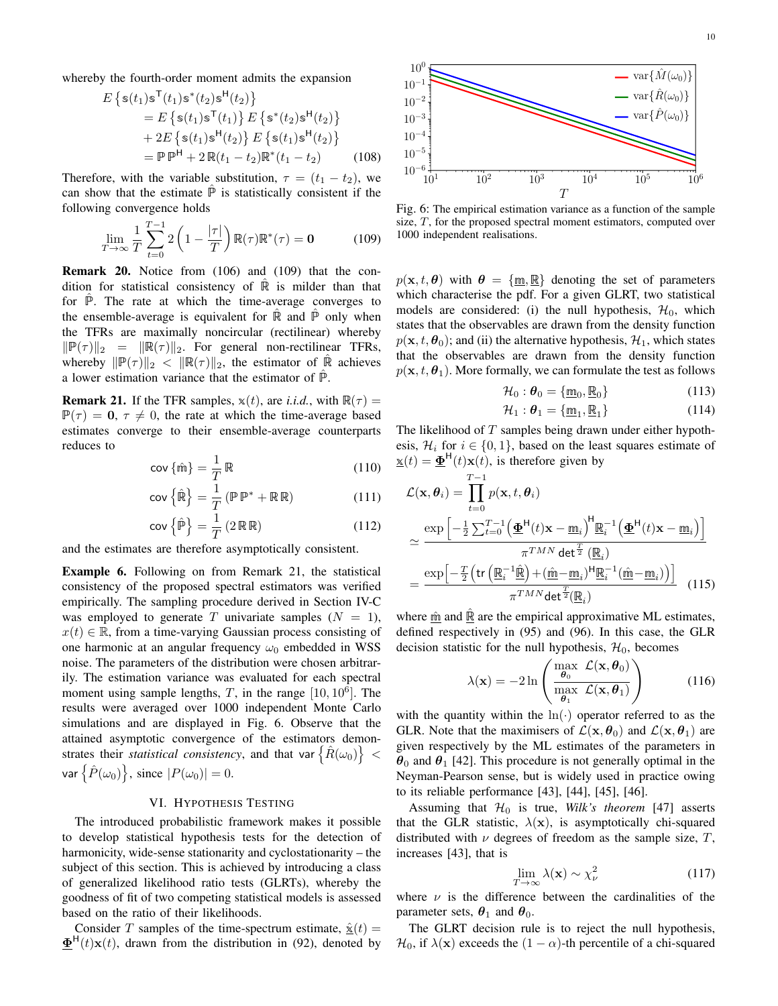whereby the fourth-order moment admits the expansion

$$
E\left\{s(t_1)s^{T}(t_1)s^{*}(t_2)s^{H}(t_2)\right\}= E\left\{s(t_1)s^{T}(t_1)\right\}E\left\{s^{*}(t_2)s^{H}(t_2)\right\}+ 2E\left\{s(t_1)s^{H}(t_2)\right\}E\left\{s(t_1)s^{H}(t_2)\right\}= \mathbb{P}\mathbb{P}^{H} + 2\mathbb{R}(t_1 - t_2)\mathbb{R}^{*}(t_1 - t_2)
$$
(108)

Therefore, with the variable substitution,  $\tau = (t_1 - t_2)$ , we can show that the estimate  $\hat{P}$  is statistically consistent if the following convergence holds

$$
\lim_{T \to \infty} \frac{1}{T} \sum_{t=0}^{T-1} 2\left(1 - \frac{|\tau|}{T}\right) \mathbb{R}(\tau) \mathbb{R}^*(\tau) = \mathbf{0}
$$
 (109)

Remark 20. Notice from (106) and (109) that the condition for statistical consistency of  $\mathbb R$  is milder than that for  $\mathbb{P}$ . The rate at which the time-average converges to the ensemble-average is equivalent for  $\mathbb R$  and  $\mathbb P$  only when the TFRs are maximally noncircular (rectilinear) whereby  $\|\mathbb{P}(\tau)\|_2 = \|\mathbb{R}(\tau)\|_2$ . For general non-rectilinear TFRs, whereby  $\|\mathbb{P}(\tau)\|_2 < \|\mathbb{R}(\tau)\|_2$ , the estimator of  $\hat{\mathbb{R}}$  achieves a lower estimation variance that the estimator of  $\mathbb{P}$ .

**Remark 21.** If the TFR samples,  $x(t)$ , are *i.i.d.*, with  $\mathbb{R}(\tau) =$  $\mathbb{P}(\tau) = 0, \tau \neq 0$ , the rate at which the time-average based estimates converge to their ensemble-average counterparts reduces to

$$
\operatorname{cov}\left\{\hat{\mathfrak{m}}\right\} = \frac{1}{T} \mathbb{R} \tag{110}
$$

$$
\operatorname{cov}\left\{\hat{\mathbb{R}}\right\} = \frac{1}{T} \left(\mathbb{P} \mathbb{P}^* + \mathbb{R} \mathbb{R}\right) \tag{111}
$$

$$
\text{cov}\left\{\hat{\mathbb{P}}\right\} = \frac{1}{T} \left(2 \mathbb{R} \mathbb{R}\right) \tag{112}
$$

and the estimates are therefore asymptotically consistent.

Example 6. Following on from Remark 21, the statistical consistency of the proposed spectral estimators was verified empirically. The sampling procedure derived in Section IV-C was employed to generate T univariate samples  $(N = 1)$ ,  $x(t) \in \mathbb{R}$ , from a time-varying Gaussian process consisting of one harmonic at an angular frequency  $\omega_0$  embedded in WSS noise. The parameters of the distribution were chosen arbitrarily. The estimation variance was evaluated for each spectral moment using sample lengths,  $T$ , in the range  $[10, 10^6]$ . The results were averaged over 1000 independent Monte Carlo simulations and are displayed in Fig. 6. Observe that the attained asymptotic convergence of the estimators demonstrates their *statistical consistency*, and that var  $\{ \hat{R}(\omega_0) \}$  < var  $\left\{\hat{P}(\omega_0)\right\}$ , since  $|P(\omega_0)|=0$ .

## VI. HYPOTHESIS TESTING

The introduced probabilistic framework makes it possible to develop statistical hypothesis tests for the detection of harmonicity, wide-sense stationarity and cyclostationarity – the subject of this section. This is achieved by introducing a class of generalized likelihood ratio tests (GLRTs), whereby the goodness of fit of two competing statistical models is assessed based on the ratio of their likelihoods.

Consider T samples of the time-spectrum estimate,  $\hat{\mathbf{x}}(t)$  =  $\underline{\Phi}^{\mathsf{H}}(t)\mathbf{x}(t)$ , drawn from the distribution in (92), denoted by



Fig. 6: The empirical estimation variance as a function of the sample size, T, for the proposed spectral moment estimators, computed over 1000 independent realisations.

 $p(\mathbf{x}, t, \theta)$  with  $\theta = {\mathbf{m}, \mathbb{R}}$  denoting the set of parameters which characterise the pdf. For a given GLRT, two statistical models are considered: (i) the null hypothesis,  $\mathcal{H}_0$ , which states that the observables are drawn from the density function  $p(\mathbf{x}, t, \theta_0)$ ; and (ii) the alternative hypothesis,  $\mathcal{H}_1$ , which states that the observables are drawn from the density function  $p(\mathbf{x}, t, \theta_1)$ . More formally, we can formulate the test as follows

$$
\mathcal{H}_0: \boldsymbol{\theta}_0 = \{\underline{\mathbf{m}}_0, \underline{\mathbf{R}}_0\} \tag{113}
$$

$$
\mathcal{H}_1: \boldsymbol{\theta}_1 = \{\underline{\mathfrak{m}}_1, \underline{\mathbb{R}}_1\} \tag{114}
$$

The likelihood of  $T$  samples being drawn under either hypothesis,  $\mathcal{H}_i$  for  $i \in \{0, 1\}$ , based on the least squares estimate of  $\underline{\mathbf{x}}(t) = \underline{\mathbf{\Phi}}^{\mathsf{H}}(t)\mathbf{x}(t)$ , is therefore given by

$$
\mathcal{L}(\mathbf{x}, \theta_i) = \prod_{t=0}^{T-1} p(\mathbf{x}, t, \theta_i)
$$

$$
\approx \frac{\exp\left[-\frac{1}{2}\sum_{t=0}^{T-1} \left(\underline{\Phi}^{\mathsf{H}}(t)\mathbf{x} - \underline{\mathfrak{m}}_i\right)^{\mathsf{H}} \underline{\mathbb{R}}_i^{-1} \left(\underline{\Phi}^{\mathsf{H}}(t)\mathbf{x} - \underline{\mathfrak{m}}_i\right)\right]}{\pi^{TMN} \det^{\frac{T}{2}} (\underline{\mathbb{R}}_i)}
$$

$$
= \frac{\exp\left[-\frac{T}{2}\left(\text{tr}\left(\underline{\mathbb{R}}_i^{-1}\underline{\hat{\mathbb{R}}}\right) + (\underline{\hat{\mathfrak{m}}} - \underline{\mathfrak{m}}_i)^{\mathsf{H}} \underline{\mathbb{R}}_i^{-1} (\underline{\hat{\mathfrak{m}}} - \underline{\mathfrak{m}}_i)\right)\right]}{\pi^{TMN} \det^{\frac{T}{2}} (\underline{\mathbb{R}}_i)} \quad (115)
$$

where  $\hat{m}$  and  $\hat{R}$  are the empirical approximative ML estimates, defined respectively in (95) and (96). In this case, the GLR decision statistic for the null hypothesis,  $\mathcal{H}_0$ , becomes

$$
\lambda(\mathbf{x}) = -2\ln\left(\frac{\max_{\boldsymbol{\theta}_0} \mathcal{L}(\mathbf{x}, \boldsymbol{\theta}_0)}{\max_{\boldsymbol{\theta}_1} \mathcal{L}(\mathbf{x}, \boldsymbol{\theta}_1)}\right) \tag{116}
$$

with the quantity within the  $ln(·)$  operator referred to as the GLR. Note that the maximisers of  $\mathcal{L}(\mathbf{x}, \theta_0)$  and  $\mathcal{L}(\mathbf{x}, \theta_1)$  are given respectively by the ML estimates of the parameters in  $\theta_0$  and  $\theta_1$  [42]. This procedure is not generally optimal in the Neyman-Pearson sense, but is widely used in practice owing to its reliable performance [43], [44], [45], [46].

Assuming that  $\mathcal{H}_0$  is true, *Wilk's theorem* [47] asserts that the GLR statistic,  $\lambda(x)$ , is asymptotically chi-squared distributed with  $\nu$  degrees of freedom as the sample size, T, increases [43], that is

$$
\lim_{T \to \infty} \lambda(\mathbf{x}) \sim \chi^2_{\nu} \tag{117}
$$

where  $\nu$  is the difference between the cardinalities of the parameter sets,  $\theta_1$  and  $\theta_0$ .

The GLRT decision rule is to reject the null hypothesis,  $\mathcal{H}_0$ , if  $\lambda(\mathbf{x})$  exceeds the  $(1 - \alpha)$ -th percentile of a chi-squared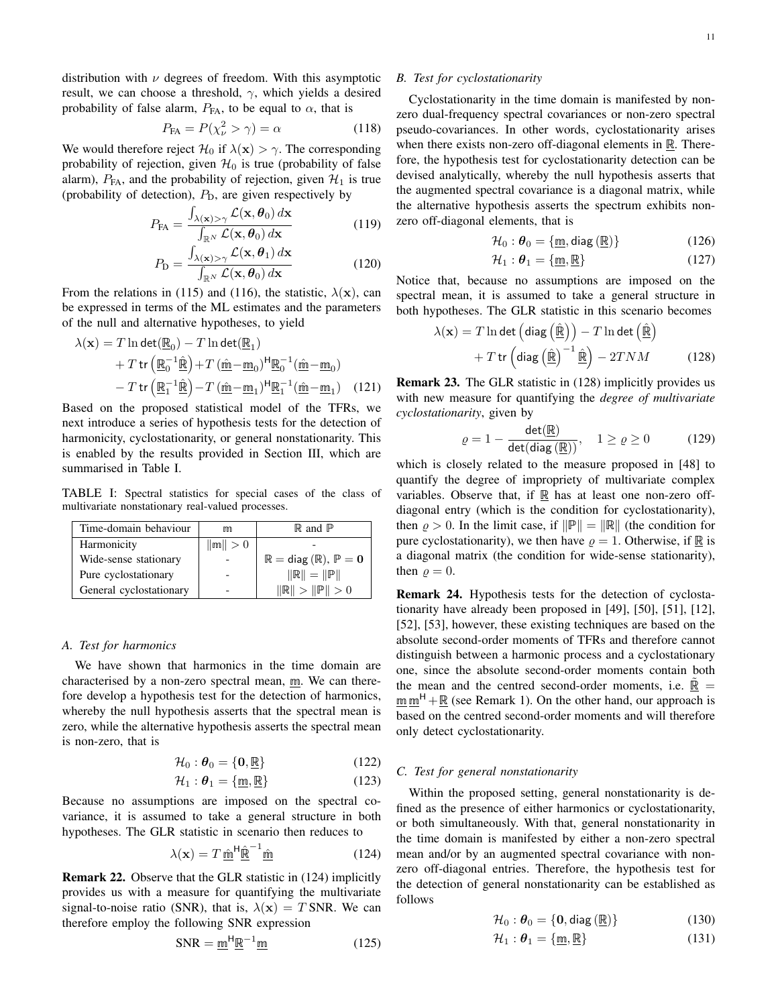distribution with  $\nu$  degrees of freedom. With this asymptotic result, we can choose a threshold,  $\gamma$ , which yields a desired probability of false alarm,  $P_{FA}$ , to be equal to  $\alpha$ , that is

$$
P_{\text{FA}} = P(\chi^2_{\nu} > \gamma) = \alpha \tag{118}
$$

We would therefore reject  $\mathcal{H}_0$  if  $\lambda(\mathbf{x}) > \gamma$ . The corresponding probability of rejection, given  $\mathcal{H}_0$  is true (probability of false alarm),  $P_{FA}$ , and the probability of rejection, given  $\mathcal{H}_1$  is true (probability of detection),  $P_D$ , are given respectively by

$$
P_{\text{FA}} = \frac{\int_{\lambda(\mathbf{x}) > \gamma} \mathcal{L}(\mathbf{x}, \boldsymbol{\theta}_0) \, d\mathbf{x}}{\int_{\mathbb{R}^N} \mathcal{L}(\mathbf{x}, \boldsymbol{\theta}_0) \, d\mathbf{x}} \tag{119}
$$

$$
P_{\rm D} = \frac{\int_{\lambda(\mathbf{x}) > \gamma} \mathcal{L}(\mathbf{x}, \boldsymbol{\theta}_1) \, d\mathbf{x}}{\int_{\mathbb{R}^N} \mathcal{L}(\mathbf{x}, \boldsymbol{\theta}_0) \, d\mathbf{x}} \tag{120}
$$

From the relations in (115) and (116), the statistic,  $\lambda(\mathbf{x})$ , can be expressed in terms of the ML estimates and the parameters of the null and alternative hypotheses, to yield

$$
\lambda(\mathbf{x}) = T \ln \det(\underline{\mathbb{R}}_0) - T \ln \det(\underline{\mathbb{R}}_1)
$$
  
+ 
$$
T \operatorname{tr} (\underline{\mathbb{R}}_0^{-1} \hat{\underline{\mathbb{R}}}) + T (\underline{\hat{\mathbb{m}}} - \underline{\mathbb{m}}_0)^{\mathsf{H}} \underline{\mathbb{R}}_0^{-1} (\underline{\hat{\mathbb{m}}} - \underline{\mathbb{m}}_0)
$$
  
- 
$$
T \operatorname{tr} (\underline{\mathbb{R}}_1^{-1} \hat{\underline{\mathbb{R}}}) - T (\underline{\hat{\mathbb{m}}} - \underline{\mathbb{m}}_1)^{\mathsf{H}} \underline{\mathbb{R}}_1^{-1} (\underline{\hat{\mathbb{m}}} - \underline{\mathbb{m}}_1) \quad (121)
$$

Based on the proposed statistical model of the TFRs, we next introduce a series of hypothesis tests for the detection of harmonicity, cyclostationarity, or general nonstationarity. This is enabled by the results provided in Section III, which are summarised in Table I.

TABLE I: Spectral statistics for special cases of the class of multivariate nonstationary real-valued processes.

| Time-domain behaviour   | m           | $\mathbb{R}$ and $\mathbb{P}$                          |
|-------------------------|-------------|--------------------------------------------------------|
| Harmonicity             | $\ m\  > 0$ |                                                        |
| Wide-sense stationary   |             | $\mathbb{R} = \text{diag}(\mathbb{R}), \mathbb{P} = 0$ |
| Pure cyclostationary    |             | $  R   =   P  $                                        |
| General cyclostationary |             | $\ \mathbb{R}\  > \ \mathbb{P}\  > 0$                  |

#### *A. Test for harmonics*

We have shown that harmonics in the time domain are characterised by a non-zero spectral mean, m. We can therefore develop a hypothesis test for the detection of harmonics, whereby the null hypothesis asserts that the spectral mean is zero, while the alternative hypothesis asserts the spectral mean is non-zero, that is

$$
\mathcal{H}_0: \boldsymbol{\theta}_0 = \{\mathbf{0}, \underline{\mathbb{R}}\} \tag{122}
$$

$$
\mathcal{H}_1: \boldsymbol{\theta}_1 = \{\underline{\mathfrak{m}}, \underline{\mathbb{R}}\}\tag{123}
$$

Because no assumptions are imposed on the spectral covariance, it is assumed to take a general structure in both hypotheses. The GLR statistic in scenario then reduces to

$$
\lambda(\mathbf{x}) = T \underline{\hat{\mathbf{m}}}^{\mathsf{H}} \underline{\hat{\mathbf{R}}}^{-1} \underline{\hat{\mathbf{m}}} \tag{124}
$$

Remark 22. Observe that the GLR statistic in (124) implicitly provides us with a measure for quantifying the multivariate signal-to-noise ratio (SNR), that is,  $\lambda(x) = T$  SNR. We can therefore employ the following SNR expression

$$
SNR = \underline{m}^H \underline{R}^{-1} \underline{m}
$$
 (125)

## *B. Test for cyclostationarity*

Cyclostationarity in the time domain is manifested by nonzero dual-frequency spectral covariances or non-zero spectral pseudo-covariances. In other words, cyclostationarity arises when there exists non-zero off-diagonal elements in  $\mathbb{R}$ . Therefore, the hypothesis test for cyclostationarity detection can be devised analytically, whereby the null hypothesis asserts that the augmented spectral covariance is a diagonal matrix, while the alternative hypothesis asserts the spectrum exhibits nonzero off-diagonal elements, that is

$$
\mathcal{H}_0: \boldsymbol{\theta}_0 = \{\underline{\mathfrak{m}}, \text{diag}\left(\underline{\mathbb{R}}\right)\}\
$$
 (126)

$$
\mathcal{H}_1: \boldsymbol{\theta}_1 = \{\underline{\mathfrak{m}}, \underline{\mathbb{R}}\}\tag{127}
$$

Notice that, because no assumptions are imposed on the spectral mean, it is assumed to take a general structure in both hypotheses. The GLR statistic in this scenario becomes

$$
\lambda(\mathbf{x}) = T \ln \det \left( \text{diag}\left(\widehat{\mathbb{R}}\right) \right) - T \ln \det \left(\widehat{\mathbb{R}}\right) + T \text{tr}\left( \text{diag}\left(\widehat{\mathbb{R}}\right)^{-1} \widehat{\mathbb{R}} \right) - 2 T N M \tag{128}
$$

Remark 23. The GLR statistic in (128) implicitly provides us with new measure for quantifying the *degree of multivariate cyclostationarity*, given by

$$
\varrho = 1 - \frac{\det(\underline{\mathbb{R}})}{\det(\text{diag}(\underline{\mathbb{R}}))}, \quad 1 \ge \varrho \ge 0 \tag{129}
$$

which is closely related to the measure proposed in [48] to quantify the degree of impropriety of multivariate complex variables. Observe that, if  $\mathbb R$  has at least one non-zero offdiagonal entry (which is the condition for cyclostationarity), then  $\rho > 0$ . In the limit case, if  $\|\mathbb{P}\| = \|\mathbb{R}\|$  (the condition for pure cyclostationarity), we then have  $\rho = 1$ . Otherwise, if R is a diagonal matrix (the condition for wide-sense stationarity), then  $\rho = 0$ .

Remark 24. Hypothesis tests for the detection of cyclostationarity have already been proposed in [49], [50], [51], [12], [52], [53], however, these existing techniques are based on the absolute second-order moments of TFRs and therefore cannot distinguish between a harmonic process and a cyclostationary one, since the absolute second-order moments contain both the mean and the centred second-order moments, i.e.  $\mathbb{\tilde{R}} =$  $\mathbf{m} \mathbf{m}^{\mathsf{H}} + \mathbf{R}$  (see Remark 1). On the other hand, our approach is based on the centred second-order moments and will therefore only detect cyclostationarity.

## *C. Test for general nonstationarity*

Within the proposed setting, general nonstationarity is defined as the presence of either harmonics or cyclostationarity, or both simultaneously. With that, general nonstationarity in the time domain is manifested by either a non-zero spectral mean and/or by an augmented spectral covariance with nonzero off-diagonal entries. Therefore, the hypothesis test for the detection of general nonstationarity can be established as follows

$$
\mathcal{H}_0: \boldsymbol{\theta}_0 = \{0, \text{diag}(\underline{\mathbb{R}})\}\
$$
 (130)

$$
\mathcal{H}_1: \boldsymbol{\theta}_1 = \{\underline{\mathfrak{m}}, \underline{\mathbb{R}}\}\tag{131}
$$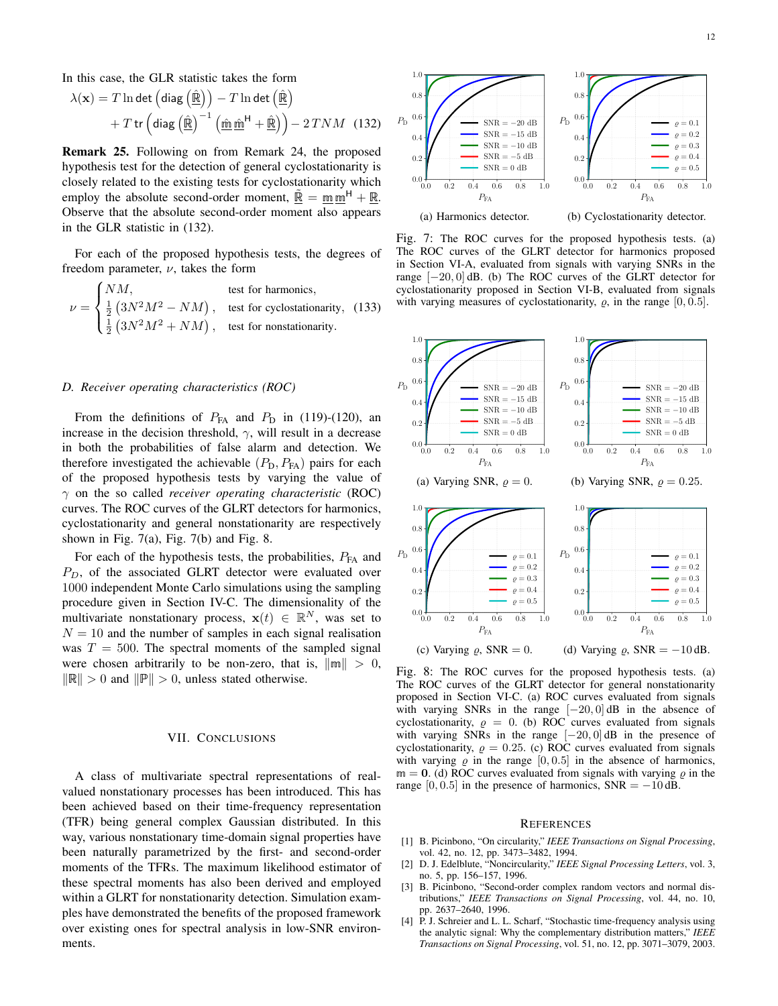In this case, the GLR statistic takes the form

$$
\lambda(\mathbf{x}) = T \ln \det \left( \text{diag} \left( \hat{\underline{\mathbb{R}}} \right) \right) - T \ln \det \left( \hat{\underline{\mathbb{R}}} \right) + T \text{tr} \left( \text{diag} \left( \hat{\underline{\mathbb{R}}} \right)^{-1} \left( \hat{\underline{\mathbb{m}}} \hat{\underline{\mathbb{m}}}^H + \hat{\underline{\mathbb{R}}} \right) \right) - 2 T N M \quad (132)
$$

Remark 25. Following on from Remark 24, the proposed hypothesis test for the detection of general cyclostationarity is closely related to the existing tests for cyclostationarity which employ the absolute second-order moment,  $\mathbb{R} = \text{mm}^H + \mathbb{R}$ . Observe that the absolute second-order moment also appears in the GLR statistic in (132).

For each of the proposed hypothesis tests, the degrees of freedom parameter,  $\nu$ , takes the form

$$
\nu = \begin{cases} NM, & \text{test for harmonics,} \\ \frac{1}{2} (3N^2M^2 - NM), & \text{test for cyclostationarity, (133)} \\ \frac{1}{2} (3N^2M^2 + NM), & \text{test for nonstationarity.} \end{cases}
$$

#### *D. Receiver operating characteristics (ROC)*

From the definitions of  $P_{FA}$  and  $P_D$  in (119)-(120), an increase in the decision threshold,  $\gamma$ , will result in a decrease in both the probabilities of false alarm and detection. We therefore investigated the achievable  $(P_D, P_{FA})$  pairs for each of the proposed hypothesis tests by varying the value of γ on the so called *receiver operating characteristic* (ROC) curves. The ROC curves of the GLRT detectors for harmonics, cyclostationarity and general nonstationarity are respectively shown in Fig.  $7(a)$ , Fig.  $7(b)$  and Fig. 8.

For each of the hypothesis tests, the probabilities,  $P_{FA}$  and  $P_D$ , of the associated GLRT detector were evaluated over 1000 independent Monte Carlo simulations using the sampling procedure given in Section IV-C. The dimensionality of the multivariate nonstationary process,  $\mathbf{x}(t) \in \mathbb{R}^N$ , was set to  $N = 10$  and the number of samples in each signal realisation was  $T = 500$ . The spectral moments of the sampled signal were chosen arbitrarily to be non-zero, that is,  $\|\mathbf{m}\| > 0$ ,  $\|\mathbb{R}\| > 0$  and  $\|\mathbb{P}\| > 0$ , unless stated otherwise.

#### VII. CONCLUSIONS

A class of multivariate spectral representations of realvalued nonstationary processes has been introduced. This has been achieved based on their time-frequency representation (TFR) being general complex Gaussian distributed. In this way, various nonstationary time-domain signal properties have been naturally parametrized by the first- and second-order moments of the TFRs. The maximum likelihood estimator of these spectral moments has also been derived and employed within a GLRT for nonstationarity detection. Simulation examples have demonstrated the benefits of the proposed framework over existing ones for spectral analysis in low-SNR environ-



Fig. 7: The ROC curves for the proposed hypothesis tests. (a) The ROC curves of the GLRT detector for harmonics proposed in Section VI-A, evaluated from signals with varying SNRs in the range  $[-20, 0]$  dB. (b) The ROC curves of the GLRT detector for cyclostationarity proposed in Section VI-B, evaluated from signals with varying measures of cyclostationarity,  $\rho$ , in the range [0, 0.5].



Fig. 8: The ROC curves for the proposed hypothesis tests. (a) The ROC curves of the GLRT detector for general nonstationarity proposed in Section VI-C. (a) ROC curves evaluated from signals with varying SNRs in the range  $[-20, 0]$  dB in the absence of cyclostationarity,  $\rho = 0$ . (b) ROC curves evaluated from signals with varying SNRs in the range  $[-20, 0]$  dB in the presence of cyclostationarity,  $\rho = 0.25$ . (c) ROC curves evaluated from signals with varying  $\rho$  in the range [0, 0.5] in the absence of harmonics,  $m = 0$ . (d) ROC curves evaluated from signals with varying  $\rho$  in the range  $[0, 0.5]$  in the presence of harmonics,  $SNR = -10$  dB.

#### **REFERENCES**

- [1] B. Picinbono, "On circularity," *IEEE Transactions on Signal Processing*, vol. 42, no. 12, pp. 3473–3482, 1994.
- [2] D. J. Edelblute, "Noncircularity," *IEEE Signal Processing Letters*, vol. 3, no. 5, pp. 156–157, 1996.
- [3] B. Picinbono, "Second-order complex random vectors and normal distributions," *IEEE Transactions on Signal Processing*, vol. 44, no. 10, pp. 2637–2640, 1996.
- [4] P. J. Schreier and L. L. Scharf, "Stochastic time-frequency analysis using the analytic signal: Why the complementary distribution matters," *IEEE Transactions on Signal Processing*, vol. 51, no. 12, pp. 3071–3079, 2003.